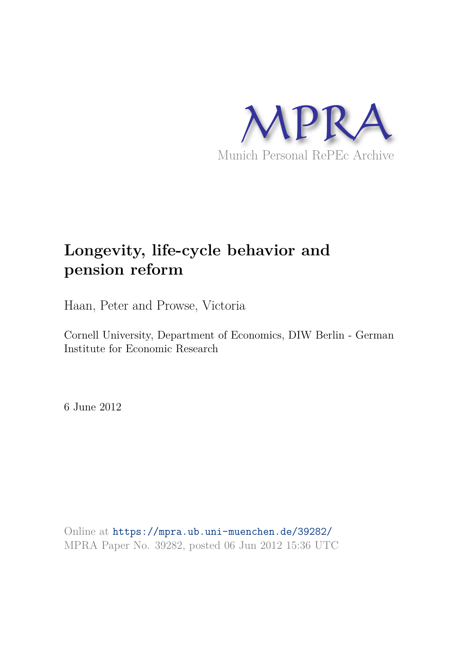

# **Longevity, life-cycle behavior and pension reform**

Haan, Peter and Prowse, Victoria

Cornell University, Department of Economics, DIW Berlin - German Institute for Economic Research

6 June 2012

Online at https://mpra.ub.uni-muenchen.de/39282/ MPRA Paper No. 39282, posted 06 Jun 2012 15:36 UTC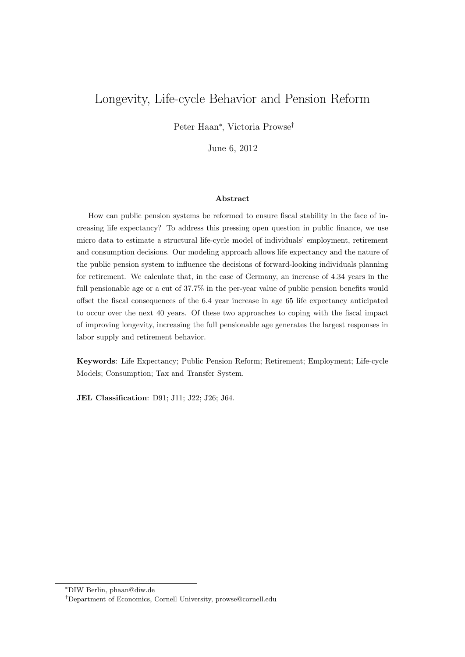# Longevity, Life-cycle Behavior and Pension Reform

Peter Haan<sup>∗</sup> , Victoria Prowse†

June 6, 2012

#### Abstract

How can public pension systems be reformed to ensure fiscal stability in the face of increasing life expectancy? To address this pressing open question in public finance, we use micro data to estimate a structural life-cycle model of individuals' employment, retirement and consumption decisions. Our modeling approach allows life expectancy and the nature of the public pension system to influence the decisions of forward-looking individuals planning for retirement. We calculate that, in the case of Germany, an increase of 4.34 years in the full pensionable age or a cut of 37.7% in the per-year value of public pension benefits would offset the fiscal consequences of the 6.4 year increase in age 65 life expectancy anticipated to occur over the next 40 years. Of these two approaches to coping with the fiscal impact of improving longevity, increasing the full pensionable age generates the largest responses in labor supply and retirement behavior.

Keywords: Life Expectancy; Public Pension Reform; Retirement; Employment; Life-cycle Models; Consumption; Tax and Transfer System.

JEL Classification: D91; J11; J22; J26; J64.

<sup>∗</sup>DIW Berlin, phaan@diw.de

<sup>†</sup>Department of Economics, Cornell University, prowse@cornell.edu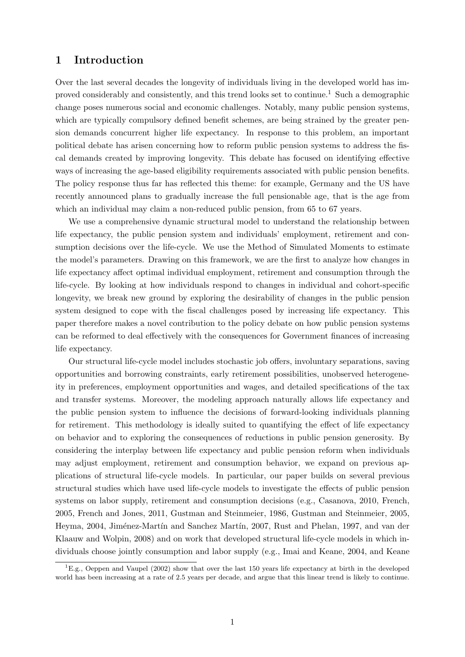## 1 Introduction

Over the last several decades the longevity of individuals living in the developed world has improved considerably and consistently, and this trend looks set to continue.<sup>1</sup> Such a demographic change poses numerous social and economic challenges. Notably, many public pension systems, which are typically compulsory defined benefit schemes, are being strained by the greater pension demands concurrent higher life expectancy. In response to this problem, an important political debate has arisen concerning how to reform public pension systems to address the fiscal demands created by improving longevity. This debate has focused on identifying effective ways of increasing the age-based eligibility requirements associated with public pension benefits. The policy response thus far has reflected this theme: for example, Germany and the US have recently announced plans to gradually increase the full pensionable age, that is the age from which an individual may claim a non-reduced public pension, from 65 to 67 years.

We use a comprehensive dynamic structural model to understand the relationship between life expectancy, the public pension system and individuals' employment, retirement and consumption decisions over the life-cycle. We use the Method of Simulated Moments to estimate the model's parameters. Drawing on this framework, we are the first to analyze how changes in life expectancy affect optimal individual employment, retirement and consumption through the life-cycle. By looking at how individuals respond to changes in individual and cohort-specific longevity, we break new ground by exploring the desirability of changes in the public pension system designed to cope with the fiscal challenges posed by increasing life expectancy. This paper therefore makes a novel contribution to the policy debate on how public pension systems can be reformed to deal effectively with the consequences for Government finances of increasing life expectancy.

Our structural life-cycle model includes stochastic job offers, involuntary separations, saving opportunities and borrowing constraints, early retirement possibilities, unobserved heterogeneity in preferences, employment opportunities and wages, and detailed specifications of the tax and transfer systems. Moreover, the modeling approach naturally allows life expectancy and the public pension system to influence the decisions of forward-looking individuals planning for retirement. This methodology is ideally suited to quantifying the effect of life expectancy on behavior and to exploring the consequences of reductions in public pension generosity. By considering the interplay between life expectancy and public pension reform when individuals may adjust employment, retirement and consumption behavior, we expand on previous applications of structural life-cycle models. In particular, our paper builds on several previous structural studies which have used life-cycle models to investigate the effects of public pension systems on labor supply, retirement and consumption decisions (e.g., Casanova, 2010, French, 2005, French and Jones, 2011, Gustman and Steinmeier, 1986, Gustman and Steinmeier, 2005, Heyma, 2004, Jiménez-Martín and Sanchez Martín, 2007, Rust and Phelan, 1997, and van der Klaauw and Wolpin, 2008) and on work that developed structural life-cycle models in which individuals choose jointly consumption and labor supply (e.g., Imai and Keane, 2004, and Keane

<sup>&</sup>lt;sup>1</sup>E.g., Oeppen and Vaupel (2002) show that over the last 150 years life expectancy at birth in the developed world has been increasing at a rate of 2.5 years per decade, and argue that this linear trend is likely to continue.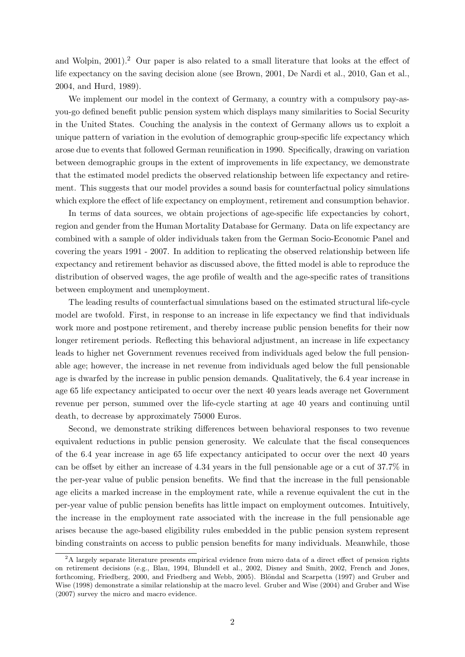and Wolpin, 2001).<sup>2</sup> Our paper is also related to a small literature that looks at the effect of life expectancy on the saving decision alone (see Brown, 2001, De Nardi et al., 2010, Gan et al., 2004, and Hurd, 1989).

We implement our model in the context of Germany, a country with a compulsory pay-asyou-go defined benefit public pension system which displays many similarities to Social Security in the United States. Couching the analysis in the context of Germany allows us to exploit a unique pattern of variation in the evolution of demographic group-specific life expectancy which arose due to events that followed German reunification in 1990. Specifically, drawing on variation between demographic groups in the extent of improvements in life expectancy, we demonstrate that the estimated model predicts the observed relationship between life expectancy and retirement. This suggests that our model provides a sound basis for counterfactual policy simulations which explore the effect of life expectancy on employment, retirement and consumption behavior.

In terms of data sources, we obtain projections of age-specific life expectancies by cohort, region and gender from the Human Mortality Database for Germany. Data on life expectancy are combined with a sample of older individuals taken from the German Socio-Economic Panel and covering the years 1991 - 2007. In addition to replicating the observed relationship between life expectancy and retirement behavior as discussed above, the fitted model is able to reproduce the distribution of observed wages, the age profile of wealth and the age-specific rates of transitions between employment and unemployment.

The leading results of counterfactual simulations based on the estimated structural life-cycle model are twofold. First, in response to an increase in life expectancy we find that individuals work more and postpone retirement, and thereby increase public pension benefits for their now longer retirement periods. Reflecting this behavioral adjustment, an increase in life expectancy leads to higher net Government revenues received from individuals aged below the full pensionable age; however, the increase in net revenue from individuals aged below the full pensionable age is dwarfed by the increase in public pension demands. Qualitatively, the 6.4 year increase in age 65 life expectancy anticipated to occur over the next 40 years leads average net Government revenue per person, summed over the life-cycle starting at age 40 years and continuing until death, to decrease by approximately 75000 Euros.

Second, we demonstrate striking differences between behavioral responses to two revenue equivalent reductions in public pension generosity. We calculate that the fiscal consequences of the 6.4 year increase in age 65 life expectancy anticipated to occur over the next 40 years can be offset by either an increase of 4.34 years in the full pensionable age or a cut of 37.7% in the per-year value of public pension benefits. We find that the increase in the full pensionable age elicits a marked increase in the employment rate, while a revenue equivalent the cut in the per-year value of public pension benefits has little impact on employment outcomes. Intuitively, the increase in the employment rate associated with the increase in the full pensionable age arises because the age-based eligibility rules embedded in the public pension system represent binding constraints on access to public pension benefits for many individuals. Meanwhile, those

<sup>&</sup>lt;sup>2</sup>A largely separate literature presents empirical evidence from micro data of a direct effect of pension rights on retirement decisions (e.g., Blau, 1994, Blundell et al., 2002, Disney and Smith, 2002, French and Jones, forthcoming, Friedberg, 2000, and Friedberg and Webb, 2005). Blöndal and Scarpetta (1997) and Gruber and Wise (1998) demonstrate a similar relationship at the macro level. Gruber and Wise (2004) and Gruber and Wise (2007) survey the micro and macro evidence.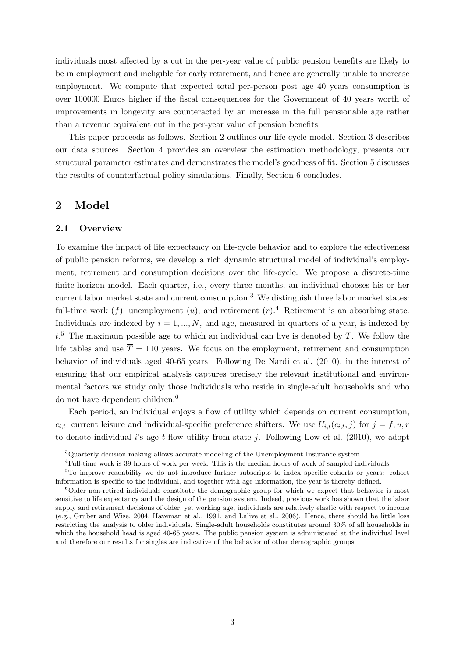individuals most affected by a cut in the per-year value of public pension benefits are likely to be in employment and ineligible for early retirement, and hence are generally unable to increase employment. We compute that expected total per-person post age 40 years consumption is over 100000 Euros higher if the fiscal consequences for the Government of 40 years worth of improvements in longevity are counteracted by an increase in the full pensionable age rather than a revenue equivalent cut in the per-year value of pension benefits.

This paper proceeds as follows. Section 2 outlines our life-cycle model. Section 3 describes our data sources. Section 4 provides an overview the estimation methodology, presents our structural parameter estimates and demonstrates the model's goodness of fit. Section 5 discusses the results of counterfactual policy simulations. Finally, Section 6 concludes.

## 2 Model

#### 2.1 Overview

To examine the impact of life expectancy on life-cycle behavior and to explore the effectiveness of public pension reforms, we develop a rich dynamic structural model of individual's employment, retirement and consumption decisions over the life-cycle. We propose a discrete-time finite-horizon model. Each quarter, i.e., every three months, an individual chooses his or her current labor market state and current consumption.<sup>3</sup> We distinguish three labor market states: full-time work  $(f)$ ; unemployment  $(u)$ ; and retirement  $(r)$ .<sup>4</sup> Retirement is an absorbing state. Individuals are indexed by  $i = 1, ..., N$ , and age, measured in quarters of a year, is indexed by  $t<sup>5</sup>$ . The maximum possible age to which an individual can live is denoted by  $\overline{T}$ . We follow the life tables and use  $\overline{T} = 110$  years. We focus on the employment, retirement and consumption behavior of individuals aged 40-65 years. Following De Nardi et al. (2010), in the interest of ensuring that our empirical analysis captures precisely the relevant institutional and environmental factors we study only those individuals who reside in single-adult households and who do not have dependent children.<sup>6</sup>

Each period, an individual enjoys a flow of utility which depends on current consumption,  $c_{i,t}$ , current leisure and individual-specific preference shifters. We use  $U_{i,t}(c_{i,t}, j)$  for  $j = f, u, r$ to denote individual i's age t flow utility from state j. Following Low et al. (2010), we adopt

<sup>&</sup>lt;sup>3</sup>Quarterly decision making allows accurate modeling of the Unemployment Insurance system.

<sup>4</sup>Full-time work is 39 hours of work per week. This is the median hours of work of sampled individuals.

<sup>5</sup>To improve readability we do not introduce further subscripts to index specific cohorts or years: cohort information is specific to the individual, and together with age information, the year is thereby defined.

 $6$ Older non-retired individuals constitute the demographic group for which we expect that behavior is most sensitive to life expectancy and the design of the pension system. Indeed, previous work has shown that the labor supply and retirement decisions of older, yet working age, individuals are relatively elastic with respect to income (e.g., Gruber and Wise, 2004, Haveman et al., 1991, and Lalive et al., 2006). Hence, there should be little loss restricting the analysis to older individuals. Single-adult households constitutes around 30% of all households in which the household head is aged 40-65 years. The public pension system is administered at the individual level and therefore our results for singles are indicative of the behavior of other demographic groups.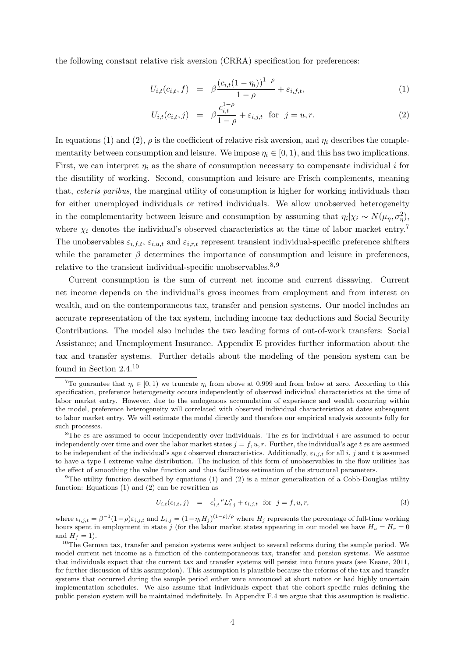the following constant relative risk aversion (CRRA) specification for preferences:

$$
U_{i,t}(c_{i,t},f) = \beta \frac{(c_{i,t}(1-\eta_i))^{1-\rho}}{1-\rho} + \varepsilon_{i,f,t},
$$
\n(1)

$$
U_{i,t}(c_{i,t},j) = \beta \frac{c_{i,t}^{1-\rho}}{1-\rho} + \varepsilon_{i,j,t} \text{ for } j = u, r.
$$
 (2)

In equations (1) and (2),  $\rho$  is the coefficient of relative risk aversion, and  $\eta_i$  describes the complementarity between consumption and leisure. We impose  $\eta_i \in [0, 1)$ , and this has two implications. First, we can interpret  $\eta_i$  as the share of consumption necessary to compensate individual i for the disutility of working. Second, consumption and leisure are Frisch complements, meaning that, ceteris paribus, the marginal utility of consumption is higher for working individuals than for either unemployed individuals or retired individuals. We allow unobserved heterogeneity in the complementarity between leisure and consumption by assuming that  $\eta_i|\chi_i \sim N(\mu_{\eta}, \sigma_{\eta}^2)$ , where  $\chi_i$  denotes the individual's observed characteristics at the time of labor market entry.<sup>7</sup> The unobservables  $\varepsilon_{i,f,t}$ ,  $\varepsilon_{i,u,t}$  and  $\varepsilon_{i,r,t}$  represent transient individual-specific preference shifters while the parameter  $\beta$  determines the importance of consumption and leisure in preferences, relative to the transient individual-specific unobservables.<sup>8,9</sup>

Current consumption is the sum of current net income and current dissaving. Current net income depends on the individual's gross incomes from employment and from interest on wealth, and on the contemporaneous tax, transfer and pension systems. Our model includes an accurate representation of the tax system, including income tax deductions and Social Security Contributions. The model also includes the two leading forms of out-of-work transfers: Social Assistance; and Unemployment Insurance. Appendix E provides further information about the tax and transfer systems. Further details about the modeling of the pension system can be found in Section 2.4.<sup>10</sup>

<sup>9</sup>The utility function described by equations (1) and (2) is a minor generalization of a Cobb-Douglas utility function: Equations (1) and (2) can be rewritten as

$$
U_{i,t}(c_{i,t},j) = c_{i,t}^{1-\rho} L_{i,j}^{\rho} + \epsilon_{i,j,t} \text{ for } j = f, u, r,
$$
\n(3)

where  $\epsilon_{i,j,t} = \beta^{-1}(1-\rho)\epsilon_{i,j,t}$  and  $L_{i,j} = (1-\eta_i H_j)^{(1-\rho)/\rho}$  where  $H_j$  represents the percentage of full-time working hours spent in employment in state j (for the labor market states appearing in our model we have  $H_u = H_r = 0$ and  $H_f = 1$ ).

<sup>&</sup>lt;sup>7</sup>To guarantee that  $\eta_i \in [0, 1)$  we truncate  $\eta_i$  from above at 0.999 and from below at zero. According to this specification, preference heterogeneity occurs independently of observed individual characteristics at the time of labor market entry. However, due to the endogenous accumulation of experience and wealth occurring within the model, preference heterogeneity will correlated with observed individual characteristics at dates subsequent to labor market entry. We will estimate the model directly and therefore our empirical analysis accounts fully for such processes.

<sup>&</sup>lt;sup>8</sup>The  $\varepsilon$ s are assumed to occur independently over individuals. The  $\varepsilon$ s for individual i are assumed to occur independently over time and over the labor market states  $j = f, u, r$ . Further, the individual's age t  $\varepsilon$ s are assumed to be independent of the individual's age t observed characteristics. Additionally,  $\varepsilon_{i,j,t}$  for all i, j and t is assumed to have a type I extreme value distribution. The inclusion of this form of unobservables in the flow utilities has the effect of smoothing the value function and thus facilitates estimation of the structural parameters.

 $10$ The German tax, transfer and pension systems were subject to several reforms during the sample period. We model current net income as a function of the contemporaneous tax, transfer and pension systems. We assume that individuals expect that the current tax and transfer systems will persist into future years (see Keane, 2011, for further discussion of this assumption). This assumption is plausible because the reforms of the tax and transfer systems that occurred during the sample period either were announced at short notice or had highly uncertain implementation schedules. We also assume that individuals expect that the cohort-specific rules defining the public pension system will be maintained indefinitely. In Appendix F.4 we argue that this assumption is realistic.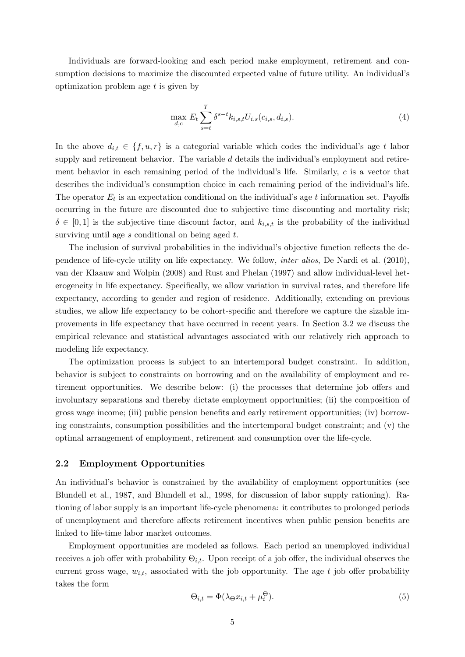Individuals are forward-looking and each period make employment, retirement and consumption decisions to maximize the discounted expected value of future utility. An individual's optimization problem age  $t$  is given by

$$
\max_{d,c} E_t \sum_{s=t}^{\overline{T}} \delta^{s-t} k_{i,s,t} U_{i,s}(c_{i,s}, d_{i,s}).
$$
\n(4)

In the above  $d_{i,t} \in \{f, u, r\}$  is a categorial variable which codes the individual's age t labor supply and retirement behavior. The variable d details the individual's employment and retirement behavior in each remaining period of the individual's life. Similarly,  $c$  is a vector that describes the individual's consumption choice in each remaining period of the individual's life. The operator  $E_t$  is an expectation conditional on the individual's age t information set. Payoffs occurring in the future are discounted due to subjective time discounting and mortality risk;  $\delta \in [0,1]$  is the subjective time discount factor, and  $k_{i,s,t}$  is the probability of the individual surviving until age s conditional on being aged t.

The inclusion of survival probabilities in the individual's objective function reflects the dependence of life-cycle utility on life expectancy. We follow, inter alios, De Nardi et al. (2010), van der Klaauw and Wolpin (2008) and Rust and Phelan (1997) and allow individual-level heterogeneity in life expectancy. Specifically, we allow variation in survival rates, and therefore life expectancy, according to gender and region of residence. Additionally, extending on previous studies, we allow life expectancy to be cohort-specific and therefore we capture the sizable improvements in life expectancy that have occurred in recent years. In Section 3.2 we discuss the empirical relevance and statistical advantages associated with our relatively rich approach to modeling life expectancy.

The optimization process is subject to an intertemporal budget constraint. In addition, behavior is subject to constraints on borrowing and on the availability of employment and retirement opportunities. We describe below: (i) the processes that determine job offers and involuntary separations and thereby dictate employment opportunities; (ii) the composition of gross wage income; (iii) public pension benefits and early retirement opportunities; (iv) borrowing constraints, consumption possibilities and the intertemporal budget constraint; and (v) the optimal arrangement of employment, retirement and consumption over the life-cycle.

#### 2.2 Employment Opportunities

An individual's behavior is constrained by the availability of employment opportunities (see Blundell et al., 1987, and Blundell et al., 1998, for discussion of labor supply rationing). Rationing of labor supply is an important life-cycle phenomena: it contributes to prolonged periods of unemployment and therefore affects retirement incentives when public pension benefits are linked to life-time labor market outcomes.

Employment opportunities are modeled as follows. Each period an unemployed individual receives a job offer with probability  $\Theta_{i,t}$ . Upon receipt of a job offer, the individual observes the current gross wage,  $w_{i,t}$ , associated with the job opportunity. The age t job offer probability takes the form

$$
\Theta_{i,t} = \Phi(\lambda \Theta x_{i,t} + \mu_i^{\Theta}). \tag{5}
$$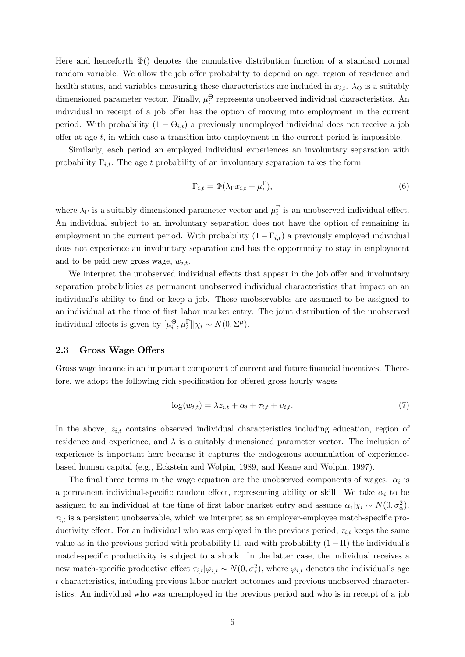Here and henceforth  $\Phi()$  denotes the cumulative distribution function of a standard normal random variable. We allow the job offer probability to depend on age, region of residence and health status, and variables measuring these characteristics are included in  $x_{i,t}$ .  $\lambda_{\Theta}$  is a suitably dimensioned parameter vector. Finally,  $\mu_i^{\Theta}$  represents unobserved individual characteristics. An individual in receipt of a job offer has the option of moving into employment in the current period. With probability  $(1 - \Theta_{i,t})$  a previously unemployed individual does not receive a job offer at age t, in which case a transition into employment in the current period is impossible.

Similarly, each period an employed individual experiences an involuntary separation with probability  $\Gamma_{i,t}$ . The age t probability of an involuntary separation takes the form

$$
\Gamma_{i,t} = \Phi(\lambda_{\Gamma} x_{i,t} + \mu_i^{\Gamma}), \tag{6}
$$

where  $\lambda_{\Gamma}$  is a suitably dimensioned parameter vector and  $\mu_{i}^{\Gamma}$  is an unobserved individual effect. An individual subject to an involuntary separation does not have the option of remaining in employment in the current period. With probability  $(1 - \Gamma_{i,t})$  a previously employed individual does not experience an involuntary separation and has the opportunity to stay in employment and to be paid new gross wage,  $w_{i,t}$ .

We interpret the unobserved individual effects that appear in the job offer and involuntary separation probabilities as permanent unobserved individual characteristics that impact on an individual's ability to find or keep a job. These unobservables are assumed to be assigned to an individual at the time of first labor market entry. The joint distribution of the unobserved individual effects is given by  $[\mu_i^{\Theta}, \mu_i^{\Gamma}]|\chi_i \sim N(0, \Sigma^{\mu}).$ 

#### 2.3 Gross Wage Offers

Gross wage income in an important component of current and future financial incentives. Therefore, we adopt the following rich specification for offered gross hourly wages

$$
\log(w_{i,t}) = \lambda z_{i,t} + \alpha_i + \tau_{i,t} + \nu_{i,t}.\tag{7}
$$

In the above,  $z_{i,t}$  contains observed individual characteristics including education, region of residence and experience, and  $\lambda$  is a suitably dimensioned parameter vector. The inclusion of experience is important here because it captures the endogenous accumulation of experiencebased human capital (e.g., Eckstein and Wolpin, 1989, and Keane and Wolpin, 1997).

The final three terms in the wage equation are the unobserved components of wages.  $\alpha_i$  is a permanent individual-specific random effect, representing ability or skill. We take  $\alpha_i$  to be assigned to an individual at the time of first labor market entry and assume  $\alpha_i|\chi_i \sim N(0, \sigma_\alpha^2)$ .  $\tau_{i,t}$  is a persistent unobservable, which we interpret as an employer-employee match-specific productivity effect. For an individual who was employed in the previous period,  $\tau_{i,t}$  keeps the same value as in the previous period with probability  $\Pi$ , and with probability  $(1-\Pi)$  the individual's match-specific productivity is subject to a shock. In the latter case, the individual receives a new match-specific productive effect  $\tau_{i,t}|\varphi_{i,t} \sim N(0, \sigma_{\tau}^2)$ , where  $\varphi_{i,t}$  denotes the individual's age t characteristics, including previous labor market outcomes and previous unobserved characteristics. An individual who was unemployed in the previous period and who is in receipt of a job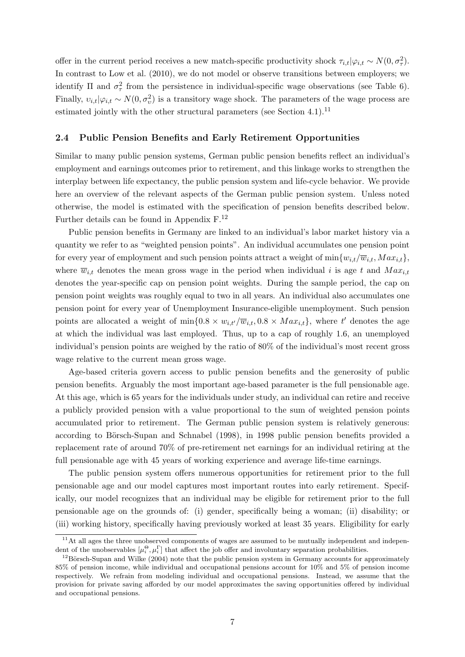offer in the current period receives a new match-specific productivity shock  $\tau_{i,t}|\varphi_{i,t} \sim N(0, \sigma_{\tau}^2)$ . In contrast to Low et al.  $(2010)$ , we do not model or observe transitions between employers; we identify  $\Pi$  and  $\sigma_{\tau}^2$  from the persistence in individual-specific wage observations (see Table 6). Finally,  $v_{i,t}|\varphi_{i,t} \sim N(0, \sigma_v^2)$  is a transitory wage shock. The parameters of the wage process are estimated jointly with the other structural parameters (see Section 4.1).<sup>11</sup>

#### 2.4 Public Pension Benefits and Early Retirement Opportunities

Similar to many public pension systems, German public pension benefits reflect an individual's employment and earnings outcomes prior to retirement, and this linkage works to strengthen the interplay between life expectancy, the public pension system and life-cycle behavior. We provide here an overview of the relevant aspects of the German public pension system. Unless noted otherwise, the model is estimated with the specification of pension benefits described below. Further details can be found in Appendix F.<sup>12</sup>

Public pension benefits in Germany are linked to an individual's labor market history via a quantity we refer to as "weighted pension points". An individual accumulates one pension point for every year of employment and such pension points attract a weight of  $\min\{w_{i,t}/\overline{w}_{i,t}, Max_{i,t}\}\$ where  $\overline{w}_{i,t}$  denotes the mean gross wage in the period when individual i is age t and  $Max_{i,t}$ denotes the year-specific cap on pension point weights. During the sample period, the cap on pension point weights was roughly equal to two in all years. An individual also accumulates one pension point for every year of Unemployment Insurance-eligible unemployment. Such pension points are allocated a weight of  $\min\{0.8 \times w_{i,t}/\overline{w}_{i,t}, 0.8 \times Max_{i,t}\}\$ , where t' denotes the age at which the individual was last employed. Thus, up to a cap of roughly 1.6, an unemployed individual's pension points are weighed by the ratio of 80% of the individual's most recent gross wage relative to the current mean gross wage.

Age-based criteria govern access to public pension benefits and the generosity of public pension benefits. Arguably the most important age-based parameter is the full pensionable age. At this age, which is 65 years for the individuals under study, an individual can retire and receive a publicly provided pension with a value proportional to the sum of weighted pension points accumulated prior to retirement. The German public pension system is relatively generous: according to Börsch-Supan and Schnabel (1998), in 1998 public pension benefits provided a replacement rate of around 70% of pre-retirement net earnings for an individual retiring at the full pensionable age with 45 years of working experience and average life-time earnings.

The public pension system offers numerous opportunities for retirement prior to the full pensionable age and our model captures most important routes into early retirement. Specifically, our model recognizes that an individual may be eligible for retirement prior to the full pensionable age on the grounds of: (i) gender, specifically being a woman; (ii) disability; or (iii) working history, specifically having previously worked at least 35 years. Eligibility for early

 $11$ At all ages the three unobserved components of wages are assumed to be mutually independent and independent of the unobservables  $[\mu_i^{\Theta}, \mu_i^{\Gamma}]$  that affect the job offer and involuntary separation probabilities.

 $12$ Börsch-Supan and Wilke (2004) note that the public pension system in Germany accounts for approximately 85% of pension income, while individual and occupational pensions account for 10% and 5% of pension income respectively. We refrain from modeling individual and occupational pensions. Instead, we assume that the provision for private saving afforded by our model approximates the saving opportunities offered by individual and occupational pensions.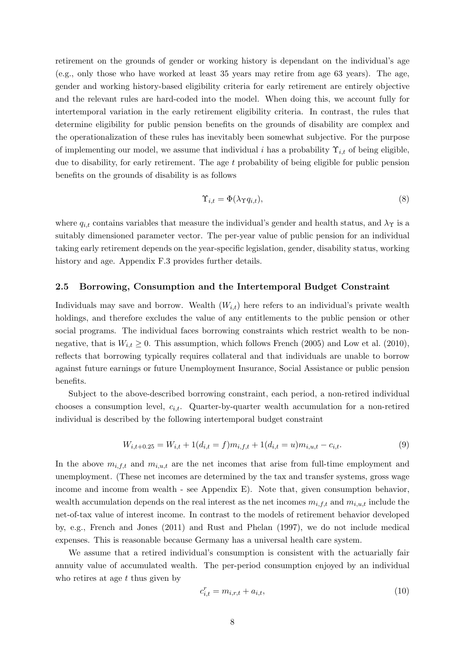retirement on the grounds of gender or working history is dependant on the individual's age (e.g., only those who have worked at least 35 years may retire from age 63 years). The age, gender and working history-based eligibility criteria for early retirement are entirely objective and the relevant rules are hard-coded into the model. When doing this, we account fully for intertemporal variation in the early retirement eligibility criteria. In contrast, the rules that determine eligibility for public pension benefits on the grounds of disability are complex and the operationalization of these rules has inevitably been somewhat subjective. For the purpose of implementing our model, we assume that individual i has a probability  $\Upsilon_{i,t}$  of being eligible, due to disability, for early retirement. The age  $t$  probability of being eligible for public pension benefits on the grounds of disability is as follows

$$
\Upsilon_{i,t} = \Phi(\lambda_{\Upsilon} q_{i,t}),\tag{8}
$$

where  $q_{i,t}$  contains variables that measure the individual's gender and health status, and  $\lambda_{\Upsilon}$  is a suitably dimensioned parameter vector. The per-year value of public pension for an individual taking early retirement depends on the year-specific legislation, gender, disability status, working history and age. Appendix F.3 provides further details.

#### 2.5 Borrowing, Consumption and the Intertemporal Budget Constraint

Individuals may save and borrow. Wealth  $(W_{i,t})$  here refers to an individual's private wealth holdings, and therefore excludes the value of any entitlements to the public pension or other social programs. The individual faces borrowing constraints which restrict wealth to be nonnegative, that is  $W_{i,t} \geq 0$ . This assumption, which follows French (2005) and Low et al. (2010), reflects that borrowing typically requires collateral and that individuals are unable to borrow against future earnings or future Unemployment Insurance, Social Assistance or public pension benefits.

Subject to the above-described borrowing constraint, each period, a non-retired individual chooses a consumption level,  $c_{i,t}$ . Quarter-by-quarter wealth accumulation for a non-retired individual is described by the following intertemporal budget constraint

$$
W_{i,t+0.25} = W_{i,t} + 1(d_{i,t} = f)m_{i,f,t} + 1(d_{i,t} = u)m_{i,u,t} - c_{i,t}.
$$
\n(9)

In the above  $m_{i,f,t}$  and  $m_{i,u,t}$  are the net incomes that arise from full-time employment and unemployment. (These net incomes are determined by the tax and transfer systems, gross wage income and income from wealth - see Appendix E). Note that, given consumption behavior, wealth accumulation depends on the real interest as the net incomes  $m_{i,f,t}$  and  $m_{i,u,t}$  include the net-of-tax value of interest income. In contrast to the models of retirement behavior developed by, e.g., French and Jones (2011) and Rust and Phelan (1997), we do not include medical expenses. This is reasonable because Germany has a universal health care system.

We assume that a retired individual's consumption is consistent with the actuarially fair annuity value of accumulated wealth. The per-period consumption enjoyed by an individual who retires at age  $t$  thus given by

$$
c_{i,t}^r = m_{i,r,t} + a_{i,t},\tag{10}
$$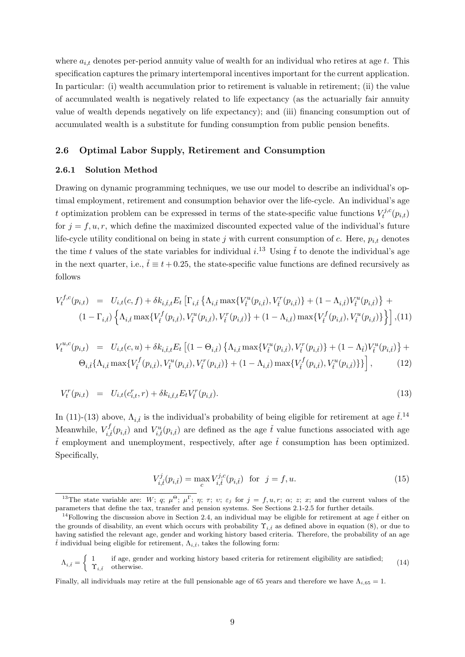where  $a_{i,t}$  denotes per-period annuity value of wealth for an individual who retires at age t. This specification captures the primary intertemporal incentives important for the current application. In particular: (i) wealth accumulation prior to retirement is valuable in retirement; (ii) the value of accumulated wealth is negatively related to life expectancy (as the actuarially fair annuity value of wealth depends negatively on life expectancy); and (iii) financing consumption out of accumulated wealth is a substitute for funding consumption from public pension benefits.

#### 2.6 Optimal Labor Supply, Retirement and Consumption

#### 2.6.1 Solution Method

Drawing on dynamic programming techniques, we use our model to describe an individual's optimal employment, retirement and consumption behavior over the life-cycle. An individual's age t optimization problem can be expressed in terms of the state-specific value functions  $V_t^{j,c}$  $\zeta^{j,c}_t(p_{i,t})$ for  $j = f, u, r$ , which define the maximized discounted expected value of the individual's future life-cycle utility conditional on being in state j with current consumption of c. Here,  $p_{i,t}$  denotes the time t values of the state variables for individual  $i^{13}$  Using t to denote the individual's age in the next quarter, i.e.,  $\check{t} \equiv t + 0.25$ , the state-specific value functions are defined recursively as follows

$$
V_t^{f,c}(p_{i,t}) = U_{i,t}(c,f) + \delta k_{i,\tilde{t},t} E_t \left[ \Gamma_{i,\tilde{t}} \left\{ \Lambda_{i,\tilde{t}} \max \{ V_t^u(p_{i,\tilde{t}}), V_t^r(p_{i,\tilde{t}}) \} + (1 - \Lambda_{i,\tilde{t}}) V_t^u(p_{i,\tilde{t}}) \right\} + (1 - \Gamma_{i,\tilde{t}}) \left\{ \Lambda_{i,\tilde{t}} \max \{ V_t^f(p_{i,\tilde{t}}), V_t^u(p_{i,\tilde{t}}), V_t^r(p_{i,\tilde{t}}) \} + (1 - \Lambda_{i,\tilde{t}}) \max \{ V_t^f(p_{i,\tilde{t}}), V_t^u(p_{i,\tilde{t}}) \} \right\} \right],
$$
(11)

$$
V_t^{u,c}(p_{i,t}) = U_{i,t}(c,u) + \delta k_{i,\tilde{t},t} E_t \left[ (1 - \Theta_{i,\tilde{t}}) \left\{ \Lambda_{i,\tilde{t}} \max \{ V_t^u(p_{i,\tilde{t}}), V_t^r(p_{i,\tilde{t}}) \} + (1 - \Lambda_{\tilde{t}}) V_t^u(p_{i,\tilde{t}}) \right\} + \Theta_{i,\tilde{t}} \{\Lambda_{i,\tilde{t}} \max \{ V_t^f(p_{i,\tilde{t}}), V_t^u(p_{i,\tilde{t}}), V_t^r(p_{i,\tilde{t}}) \} + (1 - \Lambda_{i,\tilde{t}}) \max \{ V_t^f(p_{i,\tilde{t}}), V_t^u(p_{i,\tilde{t}}) \} \right],
$$
(12)

$$
V_t^r(p_{i,t}) = U_{i,t}(c_{i,t}^r, r) + \delta k_{i,t,t} E_t V_t^r(p_{i,t}).
$$
\n(13)

In (11)-(13) above,  $\Lambda_{i,\tilde{t}}$  is the individual's probability of being eligible for retirement at age  $\tilde{t}$ .<sup>14</sup> Meanwhile,  $V_{i,\tilde{t}}^f(p_{i,\tilde{t}})$  and  $V_{i,\tilde{t}}^u(p_{i,\tilde{t}})$  are defined as the age  $\tilde{t}$  value functions associated with age  $\check{t}$  employment and unemployment, respectively, after age  $\check{t}$  consumption has been optimized. Specifically,

$$
V_{i,\tilde{t}}^{j}(p_{i,\tilde{t}}) = \max_{c} V_{i,\tilde{t}}^{j,c}(p_{i,\tilde{t}}) \text{ for } j = f, u.
$$
 (15)

<sup>&</sup>lt;sup>13</sup>The state variable are: W; q;  $\mu^{\Theta}$ ;  $\mu^{\Gamma}$ ;  $\eta$ ;  $\tau$ ;  $\upsilon$ ;  $\varepsilon_j$  for  $j = f, u, r$ ;  $\alpha$ ; z; x; and the current values of the parameters that define the tax, transfer and pension systems. See Sections 2.1-2.5 for further details.

<sup>&</sup>lt;sup>14</sup>Following the discussion above in Section 2.4, an individual may be eligible for retirement at age  $\check{t}$  either on the grounds of disability, an event which occurs with probability  $\Upsilon_{i,t}$  as defined above in equation (8), or due to having satisfied the relevant age, gender and working history based criteria. Therefore, the probability of an age  $\check{t}$  individual being eligible for retirement,  $\Lambda_{i,\check{t}}$ , takes the following form:

 $\Lambda_{i,\tilde{t}} = \begin{cases} 1 & \text{if age, gender and working history based criteria for retirement eligibility are satisfied;} \\ \Upsilon & \text{otherwise.} \end{cases}$  $\Upsilon_{i,\tilde{t}}$  otherwise. (14)

Finally, all individuals may retire at the full pensionable age of 65 years and therefore we have  $\Lambda_{i,65} = 1$ .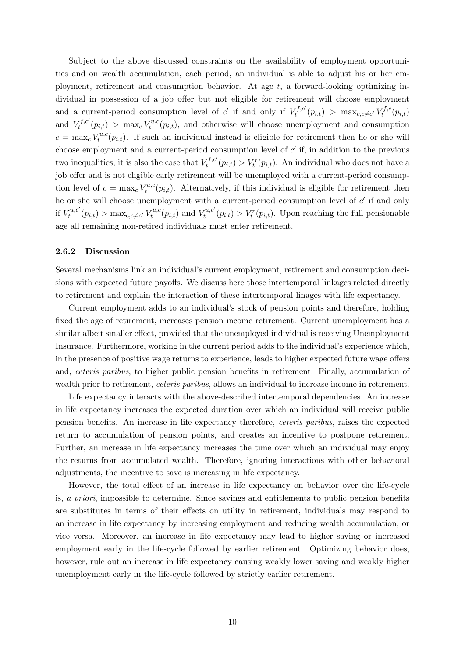Subject to the above discussed constraints on the availability of employment opportunities and on wealth accumulation, each period, an individual is able to adjust his or her employment, retirement and consumption behavior. At age  $t$ , a forward-looking optimizing individual in possession of a job offer but not eligible for retirement will choose employment and a current-period consumption level of  $c'$  if and only if  $V_t^{f,c'}$  $t^{f,c'}(p_{i,t}) > \max_{c,c \neq c'} V_t^{f,c}$  $t^{f,c}(p_{i,t})$ and  $V_t^{f,c'}$  $t^{f,c'}(p_{i,t}) > \max_{c} V_t^{u,c}$  $\mathcal{F}^{u,c}(p_{i,t})$ , and otherwise will choose unemployment and consumption  $c = \max_c V_t^{u,c}$  $t^{u,c}(p_{i,t})$ . If such an individual instead is eligible for retirement then he or she will choose employment and a current-period consumption level of  $c'$  if, in addition to the previous two inequalities, it is also the case that  $V_t^{f,c'}$  $t_t^{rf,c'}(p_{i,t}) > V_t^r(p_{i,t}).$  An individual who does not have a job offer and is not eligible early retirement will be unemployed with a current-period consumption level of  $c = \max_c V_t^{u,c}$  $t^{u,c}(p_{i,t})$ . Alternatively, if this individual is eligible for retirement then he or she will choose unemployment with a current-period consumption level of  $c'$  if and only if  $V_t^{u,c'}$  $t_t^{u,c'}(p_{i,t}) > \max_{c,c \neq c'} V_t^{u,c}$  $t^{u,c}(p_{i,t})$  and  $V_t^{u,c'}$  $t_t^{u,c'}(p_{i,t}) > V_t^r(p_{i,t}).$  Upon reaching the full pensionable age all remaining non-retired individuals must enter retirement.

#### 2.6.2 Discussion

Several mechanisms link an individual's current employment, retirement and consumption decisions with expected future payoffs. We discuss here those intertemporal linkages related directly to retirement and explain the interaction of these intertemporal linages with life expectancy.

Current employment adds to an individual's stock of pension points and therefore, holding fixed the age of retirement, increases pension income retirement. Current unemployment has a similar albeit smaller effect, provided that the unemployed individual is receiving Unemployment Insurance. Furthermore, working in the current period adds to the individual's experience which, in the presence of positive wage returns to experience, leads to higher expected future wage offers and, ceteris paribus, to higher public pension benefits in retirement. Finally, accumulation of wealth prior to retirement, *ceteris paribus*, allows an individual to increase income in retirement.

Life expectancy interacts with the above-described intertemporal dependencies. An increase in life expectancy increases the expected duration over which an individual will receive public pension benefits. An increase in life expectancy therefore, ceteris paribus, raises the expected return to accumulation of pension points, and creates an incentive to postpone retirement. Further, an increase in life expectancy increases the time over which an individual may enjoy the returns from accumulated wealth. Therefore, ignoring interactions with other behavioral adjustments, the incentive to save is increasing in life expectancy.

However, the total effect of an increase in life expectancy on behavior over the life-cycle is, a priori, impossible to determine. Since savings and entitlements to public pension benefits are substitutes in terms of their effects on utility in retirement, individuals may respond to an increase in life expectancy by increasing employment and reducing wealth accumulation, or vice versa. Moreover, an increase in life expectancy may lead to higher saving or increased employment early in the life-cycle followed by earlier retirement. Optimizing behavior does, however, rule out an increase in life expectancy causing weakly lower saving and weakly higher unemployment early in the life-cycle followed by strictly earlier retirement.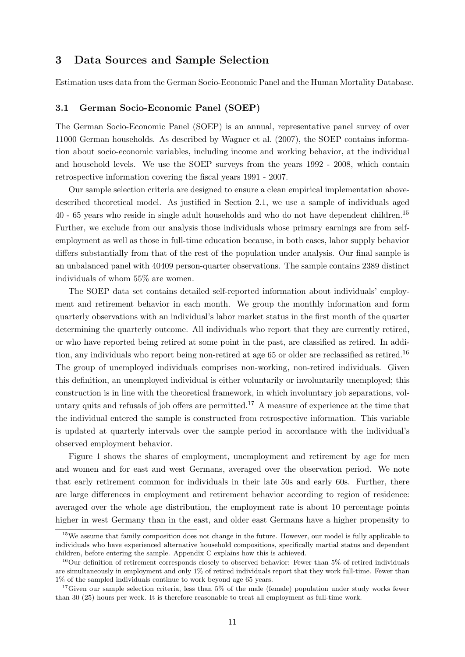## 3 Data Sources and Sample Selection

Estimation uses data from the German Socio-Economic Panel and the Human Mortality Database.

#### 3.1 German Socio-Economic Panel (SOEP)

The German Socio-Economic Panel (SOEP) is an annual, representative panel survey of over 11000 German households. As described by Wagner et al. (2007), the SOEP contains information about socio-economic variables, including income and working behavior, at the individual and household levels. We use the SOEP surveys from the years 1992 - 2008, which contain retrospective information covering the fiscal years 1991 - 2007.

Our sample selection criteria are designed to ensure a clean empirical implementation abovedescribed theoretical model. As justified in Section 2.1, we use a sample of individuals aged 40 - 65 years who reside in single adult households and who do not have dependent children.<sup>15</sup> Further, we exclude from our analysis those individuals whose primary earnings are from selfemployment as well as those in full-time education because, in both cases, labor supply behavior differs substantially from that of the rest of the population under analysis. Our final sample is an unbalanced panel with 40409 person-quarter observations. The sample contains 2389 distinct individuals of whom 55% are women.

The SOEP data set contains detailed self-reported information about individuals' employment and retirement behavior in each month. We group the monthly information and form quarterly observations with an individual's labor market status in the first month of the quarter determining the quarterly outcome. All individuals who report that they are currently retired, or who have reported being retired at some point in the past, are classified as retired. In addition, any individuals who report being non-retired at age 65 or older are reclassified as retired.<sup>16</sup> The group of unemployed individuals comprises non-working, non-retired individuals. Given this definition, an unemployed individual is either voluntarily or involuntarily unemployed; this construction is in line with the theoretical framework, in which involuntary job separations, voluntary quits and refusals of job offers are permitted.<sup>17</sup> A measure of experience at the time that the individual entered the sample is constructed from retrospective information. This variable is updated at quarterly intervals over the sample period in accordance with the individual's observed employment behavior.

Figure 1 shows the shares of employment, unemployment and retirement by age for men and women and for east and west Germans, averaged over the observation period. We note that early retirement common for individuals in their late 50s and early 60s. Further, there are large differences in employment and retirement behavior according to region of residence: averaged over the whole age distribution, the employment rate is about 10 percentage points higher in west Germany than in the east, and older east Germans have a higher propensity to

<sup>&</sup>lt;sup>15</sup>We assume that family composition does not change in the future. However, our model is fully applicable to individuals who have experienced alternative household compositions, specifically martial status and dependent children, before entering the sample. Appendix C explains how this is achieved.

<sup>&</sup>lt;sup>16</sup>Our definition of retirement corresponds closely to observed behavior: Fewer than 5% of retired individuals are simultaneously in employment and only 1% of retired individuals report that they work full-time. Fewer than 1% of the sampled individuals continue to work beyond age 65 years.

<sup>&</sup>lt;sup>17</sup>Given our sample selection criteria, less than 5% of the male (female) population under study works fewer than 30 (25) hours per week. It is therefore reasonable to treat all employment as full-time work.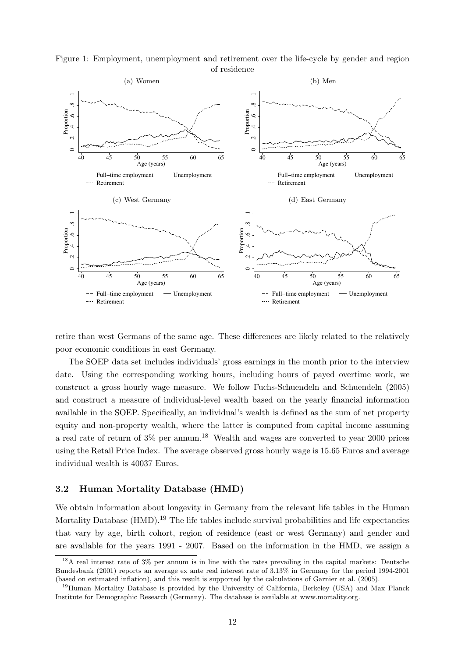

Figure 1: Employment, unemployment and retirement over the life-cycle by gender and region of residence

retire than west Germans of the same age. These differences are likely related to the relatively poor economic conditions in east Germany.

The SOEP data set includes individuals' gross earnings in the month prior to the interview date. Using the corresponding working hours, including hours of payed overtime work, we construct a gross hourly wage measure. We follow Fuchs-Schuendeln and Schuendeln (2005) and construct a measure of individual-level wealth based on the yearly financial information available in the SOEP. Specifically, an individual's wealth is defined as the sum of net property equity and non-property wealth, where the latter is computed from capital income assuming a real rate of return of  $3\%$  per annum.<sup>18</sup> Wealth and wages are converted to year 2000 prices using the Retail Price Index. The average observed gross hourly wage is 15.65 Euros and average individual wealth is 40037 Euros.

#### 3.2 Human Mortality Database (HMD)

We obtain information about longevity in Germany from the relevant life tables in the Human Mortality Database  $(HMD)$ .<sup>19</sup> The life tables include survival probabilities and life expectancies that vary by age, birth cohort, region of residence (east or west Germany) and gender and are available for the years 1991 - 2007. Based on the information in the HMD, we assign a

<sup>&</sup>lt;sup>18</sup>A real interest rate of 3% per annum is in line with the rates prevailing in the capital markets: Deutsche Bundesbank (2001) reports an average ex ante real interest rate of 3.13% in Germany for the period 1994-2001 (based on estimated inflation), and this result is supported by the calculations of Garnier et al. (2005).

<sup>&</sup>lt;sup>19</sup>Human Mortality Database is provided by the University of California, Berkeley (USA) and Max Planck Institute for Demographic Research (Germany). The database is available at www.mortality.org.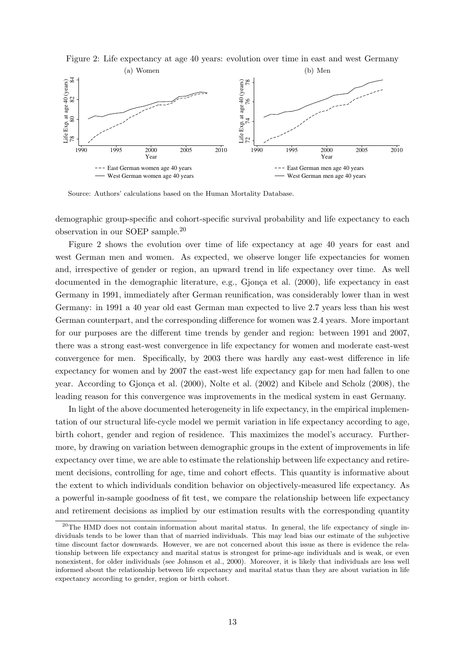

Figure 2: Life expectancy at age 40 years: evolution over time in east and west Germany

Source: Authors' calculations based on the Human Mortality Database.

demographic group-specific and cohort-specific survival probability and life expectancy to each observation in our SOEP sample.<sup>20</sup>

Figure 2 shows the evolution over time of life expectancy at age 40 years for east and west German men and women. As expected, we observe longer life expectancies for women and, irrespective of gender or region, an upward trend in life expectancy over time. As well documented in the demographic literature, e.g., Gjonça et al.  $(2000)$ , life expectancy in east Germany in 1991, immediately after German reunification, was considerably lower than in west Germany: in 1991 a 40 year old east German man expected to live 2.7 years less than his west German counterpart, and the corresponding difference for women was 2.4 years. More important for our purposes are the different time trends by gender and region: between 1991 and 2007, there was a strong east-west convergence in life expectancy for women and moderate east-west convergence for men. Specifically, by 2003 there was hardly any east-west difference in life expectancy for women and by 2007 the east-west life expectancy gap for men had fallen to one year. According to Gjonça et al. (2000), Nolte et al. (2002) and Kibele and Scholz (2008), the leading reason for this convergence was improvements in the medical system in east Germany.

In light of the above documented heterogeneity in life expectancy, in the empirical implementation of our structural life-cycle model we permit variation in life expectancy according to age, birth cohort, gender and region of residence. This maximizes the model's accuracy. Furthermore, by drawing on variation between demographic groups in the extent of improvements in life expectancy over time, we are able to estimate the relationship between life expectancy and retirement decisions, controlling for age, time and cohort effects. This quantity is informative about the extent to which individuals condition behavior on objectively-measured life expectancy. As a powerful in-sample goodness of fit test, we compare the relationship between life expectancy and retirement decisions as implied by our estimation results with the corresponding quantity

<sup>&</sup>lt;sup>20</sup>The HMD does not contain information about marital status. In general, the life expectancy of single individuals tends to be lower than that of married individuals. This may lead bias our estimate of the subjective time discount factor downwards. However, we are not concerned about this issue as there is evidence the relationship between life expectancy and marital status is strongest for prime-age individuals and is weak, or even nonexistent, for older individuals (see Johnson et al., 2000). Moreover, it is likely that individuals are less well informed about the relationship between life expectancy and marital status than they are about variation in life expectancy according to gender, region or birth cohort.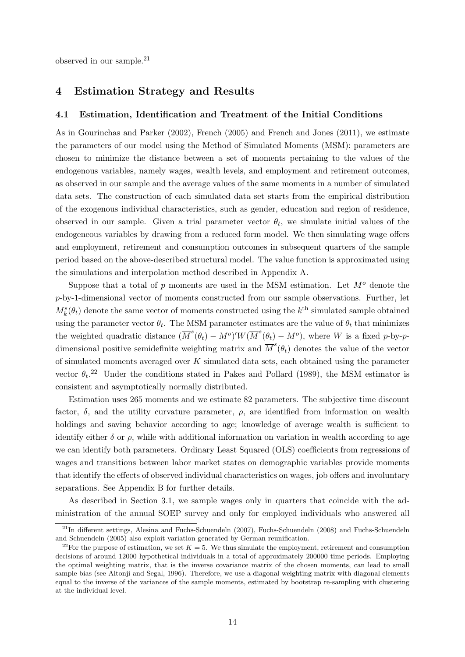observed in our sample.<sup>21</sup>

## 4 Estimation Strategy and Results

#### 4.1 Estimation, Identification and Treatment of the Initial Conditions

As in Gourinchas and Parker (2002), French (2005) and French and Jones (2011), we estimate the parameters of our model using the Method of Simulated Moments (MSM): parameters are chosen to minimize the distance between a set of moments pertaining to the values of the endogenous variables, namely wages, wealth levels, and employment and retirement outcomes, as observed in our sample and the average values of the same moments in a number of simulated data sets. The construction of each simulated data set starts from the empirical distribution of the exogenous individual characteristics, such as gender, education and region of residence, observed in our sample. Given a trial parameter vector  $\theta_t$ , we simulate initial values of the endogeneous variables by drawing from a reduced form model. We then simulating wage offers and employment, retirement and consumption outcomes in subsequent quarters of the sample period based on the above-described structural model. The value function is approximated using the simulations and interpolation method described in Appendix A.

Suppose that a total of p moments are used in the MSM estimation. Let  $M<sup>o</sup>$  denote the p-by-1-dimensional vector of moments constructed from our sample observations. Further, let  $M_k^s(\theta_t)$  denote the same vector of moments constructed using the  $k^{\text{th}}$  simulated sample obtained using the parameter vector  $\theta_t$ . The MSM parameter estimates are the value of  $\theta_t$  that minimizes the weighted quadratic distance  $(\overline{M}^s(\theta_t) - M^o)'W(\overline{M}^s(\theta_t) - M^o)$ , where W is a fixed p-by-pdimensional positive semidefinite weighting matrix and  $\overline{M}^s(\theta_t)$  denotes the value of the vector of simulated moments averaged over  $K$  simulated data sets, each obtained using the parameter vector  $\theta_t$ <sup>22</sup> Under the conditions stated in Pakes and Pollard (1989), the MSM estimator is consistent and asymptotically normally distributed.

Estimation uses 265 moments and we estimate 82 parameters. The subjective time discount factor,  $\delta$ , and the utility curvature parameter,  $\rho$ , are identified from information on wealth holdings and saving behavior according to age; knowledge of average wealth is sufficient to identify either  $\delta$  or  $\rho$ , while with additional information on variation in wealth according to age we can identify both parameters. Ordinary Least Squared (OLS) coefficients from regressions of wages and transitions between labor market states on demographic variables provide moments that identify the effects of observed individual characteristics on wages, job offers and involuntary separations. See Appendix B for further details.

As described in Section 3.1, we sample wages only in quarters that coincide with the administration of the annual SOEP survey and only for employed individuals who answered all

 $^{21}$ In different settings, Alesina and Fuchs-Schuendeln (2007), Fuchs-Schuendeln (2008) and Fuchs-Schuendeln and Schuendeln (2005) also exploit variation generated by German reunification.

<sup>&</sup>lt;sup>22</sup>For the purpose of estimation, we set  $K = 5$ . We thus simulate the employment, retirement and consumption decisions of around 12000 hypothetical individuals in a total of approximately 200000 time periods. Employing the optimal weighting matrix, that is the inverse covariance matrix of the chosen moments, can lead to small sample bias (see Altonji and Segal, 1996). Therefore, we use a diagonal weighting matrix with diagonal elements equal to the inverse of the variances of the sample moments, estimated by bootstrap re-sampling with clustering at the individual level.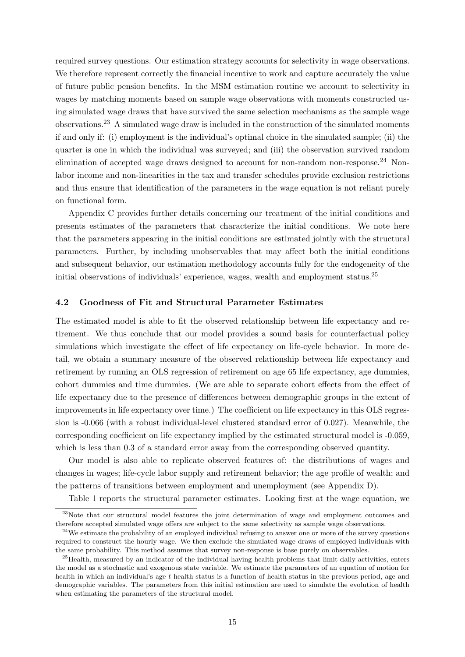required survey questions. Our estimation strategy accounts for selectivity in wage observations. We therefore represent correctly the financial incentive to work and capture accurately the value of future public pension benefits. In the MSM estimation routine we account to selectivity in wages by matching moments based on sample wage observations with moments constructed using simulated wage draws that have survived the same selection mechanisms as the sample wage observations.<sup>23</sup> A simulated wage draw is included in the construction of the simulated moments if and only if: (i) employment is the individual's optimal choice in the simulated sample; (ii) the quarter is one in which the individual was surveyed; and (iii) the observation survived random elimination of accepted wage draws designed to account for non-random non-response.<sup>24</sup> Nonlabor income and non-linearities in the tax and transfer schedules provide exclusion restrictions and thus ensure that identification of the parameters in the wage equation is not reliant purely on functional form.

Appendix C provides further details concerning our treatment of the initial conditions and presents estimates of the parameters that characterize the initial conditions. We note here that the parameters appearing in the initial conditions are estimated jointly with the structural parameters. Further, by including unobservables that may affect both the initial conditions and subsequent behavior, our estimation methodology accounts fully for the endogeneity of the initial observations of individuals' experience, wages, wealth and employment status.<sup>25</sup>

#### 4.2 Goodness of Fit and Structural Parameter Estimates

The estimated model is able to fit the observed relationship between life expectancy and retirement. We thus conclude that our model provides a sound basis for counterfactual policy simulations which investigate the effect of life expectancy on life-cycle behavior. In more detail, we obtain a summary measure of the observed relationship between life expectancy and retirement by running an OLS regression of retirement on age 65 life expectancy, age dummies, cohort dummies and time dummies. (We are able to separate cohort effects from the effect of life expectancy due to the presence of differences between demographic groups in the extent of improvements in life expectancy over time.) The coefficient on life expectancy in this OLS regression is -0.066 (with a robust individual-level clustered standard error of 0.027). Meanwhile, the corresponding coefficient on life expectancy implied by the estimated structural model is -0.059, which is less than 0.3 of a standard error away from the corresponding observed quantity.

Our model is also able to replicate observed features of: the distributions of wages and changes in wages; life-cycle labor supply and retirement behavior; the age profile of wealth; and the patterns of transitions between employment and unemployment (see Appendix D).

Table 1 reports the structural parameter estimates. Looking first at the wage equation, we

<sup>&</sup>lt;sup>23</sup>Note that our structural model features the joint determination of wage and employment outcomes and therefore accepted simulated wage offers are subject to the same selectivity as sample wage observations.

<sup>&</sup>lt;sup>24</sup>We estimate the probability of an employed individual refusing to answer one or more of the survey questions required to construct the hourly wage. We then exclude the simulated wage draws of employed individuals with the same probability. This method assumes that survey non-response is base purely on observables.

<sup>&</sup>lt;sup>25</sup> Health, measured by an indicator of the individual having health problems that limit daily activities, enters the model as a stochastic and exogenous state variable. We estimate the parameters of an equation of motion for health in which an individual's age  $t$  health status is a function of health status in the previous period, age and demographic variables. The parameters from this initial estimation are used to simulate the evolution of health when estimating the parameters of the structural model.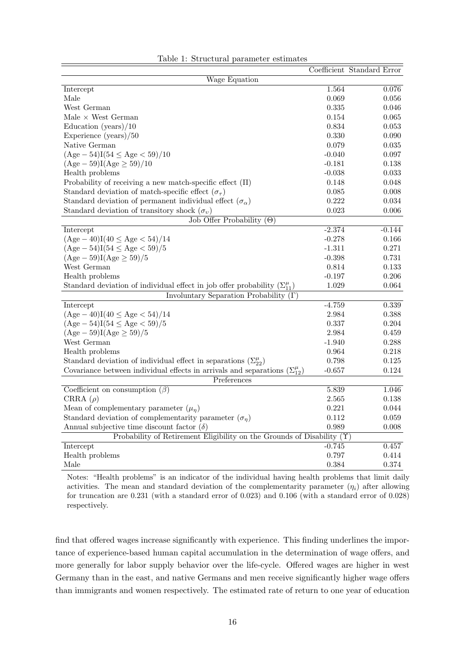|                                                                                         |          | Coefficient Standard Error |
|-----------------------------------------------------------------------------------------|----------|----------------------------|
| Wage Equation                                                                           |          |                            |
| Intercept                                                                               | 1.564    | 0.076                      |
| Male                                                                                    | 0.069    | 0.056                      |
| West German                                                                             | 0.335    | 0.046                      |
| Male $\times$ West German                                                               | 0.154    | 0.065                      |
| Education (years) $/10$                                                                 | 0.834    | 0.053                      |
| Experience $(years)/50$                                                                 | 0.330    | 0.090                      |
| Native German                                                                           | 0.079    | 0.035                      |
| $(Age - 54)I(54 \le Age < 59)/10$                                                       | $-0.040$ | 0.097                      |
| $(Age - 59)I(Age \ge 59)/10$                                                            | $-0.181$ | 0.138                      |
| Health problems                                                                         | $-0.038$ | 0.033                      |
| Probability of receiving a new match-specific effect $(\Pi)$                            | 0.148    | 0.048                      |
| Standard deviation of match-specific effect $(\sigma_{\tau})$                           | 0.085    | 0.008                      |
| Standard deviation of permanent individual effect $(\sigma_{\alpha})$                   | 0.222    | 0.034                      |
| Standard deviation of transitory shock $(\sigma_v)$                                     | 0.023    | 0.006                      |
| Job Offer Probability $(\Theta)$                                                        |          |                            |
| Intercept                                                                               | $-2.374$ | $-0.144$                   |
| $(Age - 40)I(40 \le Age < 54)/14$                                                       | $-0.278$ | 0.166                      |
| $(Age-54)I(54 \le Age < 59)/5$                                                          | $-1.311$ | 0.271                      |
| $(Age - 59)I(Age \ge 59)/5$                                                             | $-0.398$ | 0.731                      |
| West German                                                                             | 0.814    | 0.133                      |
| Health problems                                                                         | $-0.197$ | 0.206                      |
| Standard deviation of individual effect in job offer probability $(\Sigma_{11}^{\mu})$  | 1.029    | 0.064                      |
| Involuntary Separation Probability $(\Gamma)$                                           |          |                            |
| Intercept                                                                               | $-4.759$ | 0.339                      |
| $(Age-40)I(40 \le Age < 54)/14$                                                         | 2.984    | 0.388                      |
| $(Age - 54)I(54 \le Age < 59)/5$                                                        | 0.337    | 0.204                      |
| $(Age - 59)I(Age \ge 59)/5$                                                             | 2.984    | 0.459                      |
| West German                                                                             | $-1.940$ | 0.288                      |
| Health problems                                                                         | 0.964    | 0.218                      |
| Standard deviation of individual effect in separations $(\Sigma_{22}^{\mu})$            | 0.798    | 0.125                      |
| Covariance between individual effects in arrivals and separations $(\Sigma_{12}^{\mu})$ | $-0.657$ | 0.124                      |
| Preferences                                                                             |          |                            |
| Coefficient on consumption $(\beta)$                                                    | 5.839    | 1.046                      |
| CRRA $(\rho)$                                                                           | 2.565    | 0.138                      |
| Mean of complementary parameter $(\mu_n)$                                               | 0.221    | 0.044                      |
| Standard deviation of complementarity parameter $(\sigma_n)$                            | 0.112    | 0.059                      |
| Annual subjective time discount factor $(\delta)$                                       | 0.989    | 0.008                      |
| Probability of Retirement Eligibility on the Grounds of Disability $(\Upsilon)$         |          |                            |
| Intercept                                                                               | $-0.745$ | 0.457                      |
| Health problems                                                                         | 0.797    | 0.414                      |
| Male                                                                                    | 0.384    | 0.374                      |

| Table 1: Structural parameter estimates |  |  |
|-----------------------------------------|--|--|
|-----------------------------------------|--|--|

Notes: "Health problems" is an indicator of the individual having health problems that limit daily activities. The mean and standard deviation of the complementarity parameter  $(\eta_i)$  after allowing for truncation are 0.231 (with a standard error of 0.023) and 0.106 (with a standard error of 0.028) respectively.

find that offered wages increase significantly with experience. This finding underlines the importance of experience-based human capital accumulation in the determination of wage offers, and more generally for labor supply behavior over the life-cycle. Offered wages are higher in west Germany than in the east, and native Germans and men receive significantly higher wage offers than immigrants and women respectively. The estimated rate of return to one year of education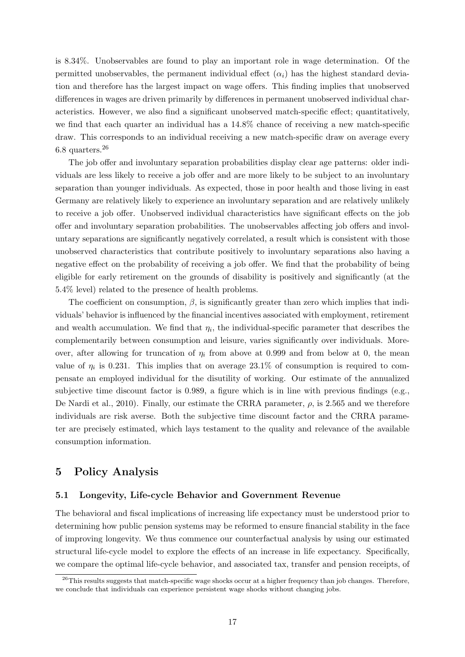is 8.34%. Unobservables are found to play an important role in wage determination. Of the permitted unobservables, the permanent individual effect  $(\alpha_i)$  has the highest standard deviation and therefore has the largest impact on wage offers. This finding implies that unobserved differences in wages are driven primarily by differences in permanent unobserved individual characteristics. However, we also find a significant unobserved match-specific effect; quantitatively, we find that each quarter an individual has a 14.8% chance of receiving a new match-specific draw. This corresponds to an individual receiving a new match-specific draw on average every 6.8 quarters.<sup>26</sup>

The job offer and involuntary separation probabilities display clear age patterns: older individuals are less likely to receive a job offer and are more likely to be subject to an involuntary separation than younger individuals. As expected, those in poor health and those living in east Germany are relatively likely to experience an involuntary separation and are relatively unlikely to receive a job offer. Unobserved individual characteristics have significant effects on the job offer and involuntary separation probabilities. The unobservables affecting job offers and involuntary separations are significantly negatively correlated, a result which is consistent with those unobserved characteristics that contribute positively to involuntary separations also having a negative effect on the probability of receiving a job offer. We find that the probability of being eligible for early retirement on the grounds of disability is positively and significantly (at the 5.4% level) related to the presence of health problems.

The coefficient on consumption,  $\beta$ , is significantly greater than zero which implies that individuals' behavior is influenced by the financial incentives associated with employment, retirement and wealth accumulation. We find that  $\eta_i$ , the individual-specific parameter that describes the complementarily between consumption and leisure, varies significantly over individuals. Moreover, after allowing for truncation of  $\eta_i$  from above at 0.999 and from below at 0, the mean value of  $\eta_i$  is 0.231. This implies that on average 23.1% of consumption is required to compensate an employed individual for the disutility of working. Our estimate of the annualized subjective time discount factor is 0.989, a figure which is in line with previous findings (e.g., De Nardi et al., 2010). Finally, our estimate the CRRA parameter,  $\rho$ , is 2.565 and we therefore individuals are risk averse. Both the subjective time discount factor and the CRRA parameter are precisely estimated, which lays testament to the quality and relevance of the available consumption information.

## 5 Policy Analysis

#### 5.1 Longevity, Life-cycle Behavior and Government Revenue

The behavioral and fiscal implications of increasing life expectancy must be understood prior to determining how public pension systems may be reformed to ensure financial stability in the face of improving longevity. We thus commence our counterfactual analysis by using our estimated structural life-cycle model to explore the effects of an increase in life expectancy. Specifically, we compare the optimal life-cycle behavior, and associated tax, transfer and pension receipts, of

<sup>&</sup>lt;sup>26</sup>This results suggests that match-specific wage shocks occur at a higher frequency than job changes. Therefore, we conclude that individuals can experience persistent wage shocks without changing jobs.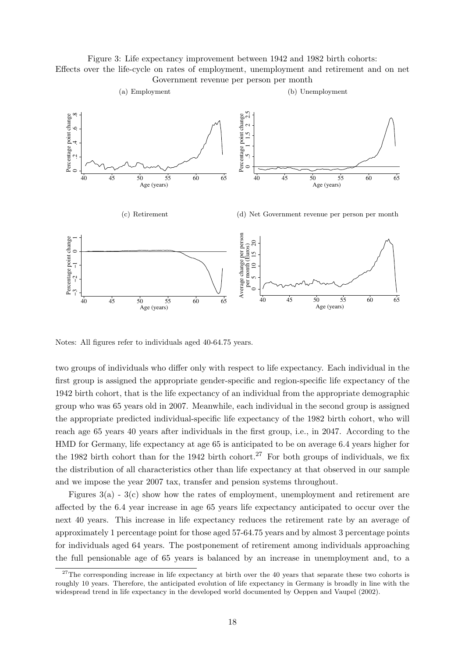Figure 3: Life expectancy improvement between 1942 and 1982 birth cohorts: Effects over the life-cycle on rates of employment, unemployment and retirement and on net Government revenue per person per month



Notes: All figures refer to individuals aged 40-64.75 years.

two groups of individuals who differ only with respect to life expectancy. Each individual in the first group is assigned the appropriate gender-specific and region-specific life expectancy of the 1942 birth cohort, that is the life expectancy of an individual from the appropriate demographic group who was 65 years old in 2007. Meanwhile, each individual in the second group is assigned the appropriate predicted individual-specific life expectancy of the 1982 birth cohort, who will reach age 65 years 40 years after individuals in the first group, i.e., in 2047. According to the HMD for Germany, life expectancy at age 65 is anticipated to be on average 6.4 years higher for the 1982 birth cohort than for the 1942 birth cohort.<sup>27</sup> For both groups of individuals, we fix the distribution of all characteristics other than life expectancy at that observed in our sample and we impose the year 2007 tax, transfer and pension systems throughout.

Figures  $3(a)$  -  $3(c)$  show how the rates of employment, unemployment and retirement are affected by the 6.4 year increase in age 65 years life expectancy anticipated to occur over the next 40 years. This increase in life expectancy reduces the retirement rate by an average of approximately 1 percentage point for those aged 57-64.75 years and by almost 3 percentage points for individuals aged 64 years. The postponement of retirement among individuals approaching the full pensionable age of 65 years is balanced by an increase in unemployment and, to a

<sup>&</sup>lt;sup>27</sup>The corresponding increase in life expectancy at birth over the 40 years that separate these two cohorts is roughly 10 years. Therefore, the anticipated evolution of life expectancy in Germany is broadly in line with the widespread trend in life expectancy in the developed world documented by Oeppen and Vaupel (2002).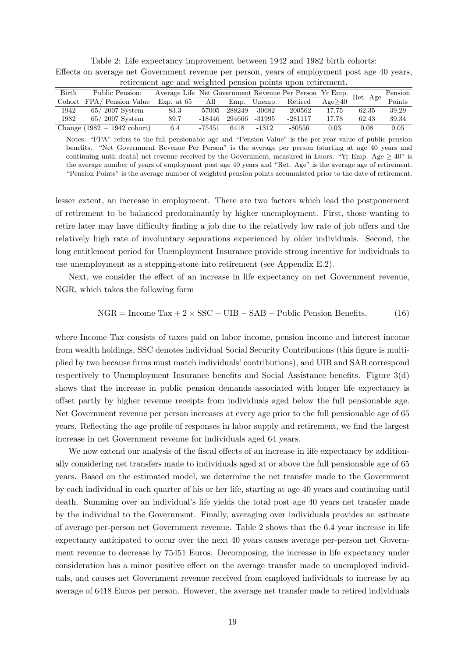|       | reurement age and weighted pension points upon retirement.<br>Average Life Net Government Revenue Per Person Yr Emp. Ret. Age P |              |        |        |             |           |        |       |         |  |  |
|-------|---------------------------------------------------------------------------------------------------------------------------------|--------------|--------|--------|-------------|-----------|--------|-------|---------|--|--|
| Birth | Public Pension:                                                                                                                 |              |        |        |             |           |        |       | Pension |  |  |
|       | Cohort FPA/Pension Value                                                                                                        | Exp. at $65$ | All    |        | Emp. Unemp. | Retired   | Age>40 |       | Points  |  |  |
| 1942  | $65/2007$ System                                                                                                                | 83.3         | 57005  | 288249 | -30682      | -200562   | 17.75  | 62.35 | 39.29   |  |  |
| 1982  | $65/2007$ System                                                                                                                | 89.7         | -18446 | 294666 | -31995      | $-281117$ | 17.78  | 62.43 | 39.34   |  |  |
|       | Change $(1982 - 1942 \text{ cohort})$                                                                                           | 6.4          | -75451 | 6418   | $-1312$     | -80556    | 0.03   | 0.08  | 0.05    |  |  |

Table 2: Life expectancy improvement between 1942 and 1982 birth cohorts: Effects on average net Government revenue per person, years of employment post age 40 years, retirement age and weighted pension points upon retirement.

Notes: "FPA" refers to the full pensionable age and "Pension Value" is the per-year value of public pension benefits. "Net Government Revenue Per Person" is the average per person (starting at age 40 years and continuing until death) net revenue received by the Government, measured in Euors. "Yr Emp. Age  $\geq 40$ " is the average number of years of employment post age 40 years and "Ret. Age" is the average age of retirement. "Pension Points" is the average number of weighted pension points accumulated prior to the date of retirement.

lesser extent, an increase in employment. There are two factors which lead the postponement of retirement to be balanced predominantly by higher unemployment. First, those wanting to retire later may have difficulty finding a job due to the relatively low rate of job offers and the relatively high rate of involuntary separations experienced by older individuals. Second, the long entitlement period for Unemployment Insurance provide strong incentive for individuals to use unemployment as a stepping-stone into retirement (see Appendix E.2).

Next, we consider the effect of an increase in life expectancy on net Government revenue, NGR, which takes the following form

$$
NGR = Income Tax + 2 \times SSC - UIB - SAB - Public pension Benefits,
$$
 (16)

where Income Tax consists of taxes paid on labor income, pension income and interest income from wealth holdings, SSC denotes individual Social Security Contributions (this figure is multiplied by two because firms must match individuals' contributions), and UIB and SAB correspond respectively to Unemployment Insurance benefits and Social Assistance benefits. Figure 3(d) shows that the increase in public pension demands associated with longer life expectancy is offset partly by higher revenue receipts from individuals aged below the full pensionable age. Net Government revenue per person increases at every age prior to the full pensionable age of 65 years. Reflecting the age profile of responses in labor supply and retirement, we find the largest increase in net Government revenue for individuals aged 64 years.

We now extend our analysis of the fiscal effects of an increase in life expectancy by additionally considering net transfers made to individuals aged at or above the full pensionable age of 65 years. Based on the estimated model, we determine the net transfer made to the Government by each individual in each quarter of his or her life, starting at age 40 years and continuing until death. Summing over an individual's life yields the total post age 40 years net transfer made by the individual to the Government. Finally, averaging over individuals provides an estimate of average per-person net Government revenue. Table 2 shows that the 6.4 year increase in life expectancy anticipated to occur over the next 40 years causes average per-person net Government revenue to decrease by 75451 Euros. Decomposing, the increase in life expectancy under consideration has a minor positive effect on the average transfer made to unemployed individuals, and causes net Government revenue received from employed individuals to increase by an average of 6418 Euros per person. However, the average net transfer made to retired individuals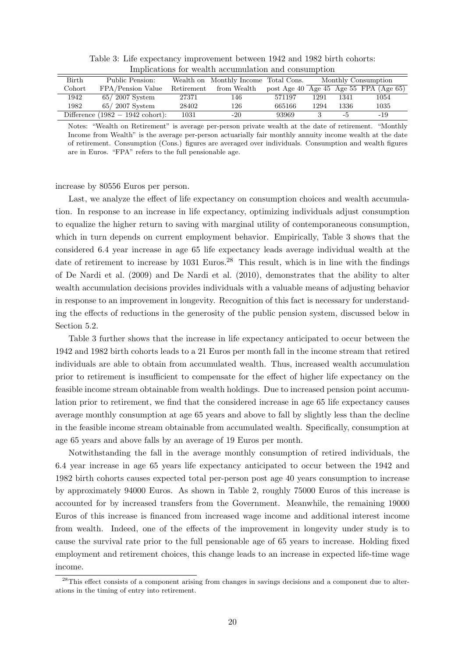| <u>mipheaghons for wearen accumulation and consumption</u> |                                             |            |                                      |        |                     |      |                                        |  |  |  |
|------------------------------------------------------------|---------------------------------------------|------------|--------------------------------------|--------|---------------------|------|----------------------------------------|--|--|--|
| Birth                                                      | Public Pension:                             |            | Wealth on Monthly Income Total Cons. |        | Monthly Consumption |      |                                        |  |  |  |
| Cohort                                                     | FPA/Pension Value                           | Retirement | from Wealth                          |        |                     |      | post Age 40 Age 45 Age 55 FPA (Age 65) |  |  |  |
| 1942                                                       | $65/2007$ System                            | 27371      | 146                                  | 571197 | 1291                | 1341 | 1054                                   |  |  |  |
| 1982                                                       | $65/2007$ System                            | 28402      | 126                                  | 665166 | 1294                | 1336 | 1035                                   |  |  |  |
|                                                            | Difference $(1982 - 1942 \text{ cohort})$ : | 1031       | $-20$                                | 93969  |                     | -5   | -19                                    |  |  |  |

Table 3: Life expectancy improvement between 1942 and 1982 birth cohorts: Implications for wealth accumulation and consumption

Notes: "Wealth on Retirement" is average per-person private wealth at the date of retirement. "Monthly Income from Wealth" is the average per-person actuarially fair monthly annuity income wealth at the date of retirement. Consumption (Cons.) figures are averaged over individuals. Consumption and wealth figures are in Euros. "FPA" refers to the full pensionable age.

increase by 80556 Euros per person.

Last, we analyze the effect of life expectancy on consumption choices and wealth accumulation. In response to an increase in life expectancy, optimizing individuals adjust consumption to equalize the higher return to saving with marginal utility of contemporaneous consumption, which in turn depends on current employment behavior. Empirically, Table 3 shows that the considered 6.4 year increase in age 65 life expectancy leads average individual wealth at the date of retirement to increase by  $1031$  Euros.<sup>28</sup> This result, which is in line with the findings of De Nardi et al. (2009) and De Nardi et al. (2010), demonstrates that the ability to alter wealth accumulation decisions provides individuals with a valuable means of adjusting behavior in response to an improvement in longevity. Recognition of this fact is necessary for understanding the effects of reductions in the generosity of the public pension system, discussed below in Section 5.2.

Table 3 further shows that the increase in life expectancy anticipated to occur between the 1942 and 1982 birth cohorts leads to a 21 Euros per month fall in the income stream that retired individuals are able to obtain from accumulated wealth. Thus, increased wealth accumulation prior to retirement is insufficient to compensate for the effect of higher life expectancy on the feasible income stream obtainable from wealth holdings. Due to increased pension point accumulation prior to retirement, we find that the considered increase in age 65 life expectancy causes average monthly consumption at age 65 years and above to fall by slightly less than the decline in the feasible income stream obtainable from accumulated wealth. Specifically, consumption at age 65 years and above falls by an average of 19 Euros per month.

Notwithstanding the fall in the average monthly consumption of retired individuals, the 6.4 year increase in age 65 years life expectancy anticipated to occur between the 1942 and 1982 birth cohorts causes expected total per-person post age 40 years consumption to increase by approximately 94000 Euros. As shown in Table 2, roughly 75000 Euros of this increase is accounted for by increased transfers from the Government. Meanwhile, the remaining 19000 Euros of this increase is financed from increased wage income and additional interest income from wealth. Indeed, one of the effects of the improvement in longevity under study is to cause the survival rate prior to the full pensionable age of 65 years to increase. Holding fixed employment and retirement choices, this change leads to an increase in expected life-time wage income.

<sup>&</sup>lt;sup>28</sup>This effect consists of a component arising from changes in savings decisions and a component due to alterations in the timing of entry into retirement.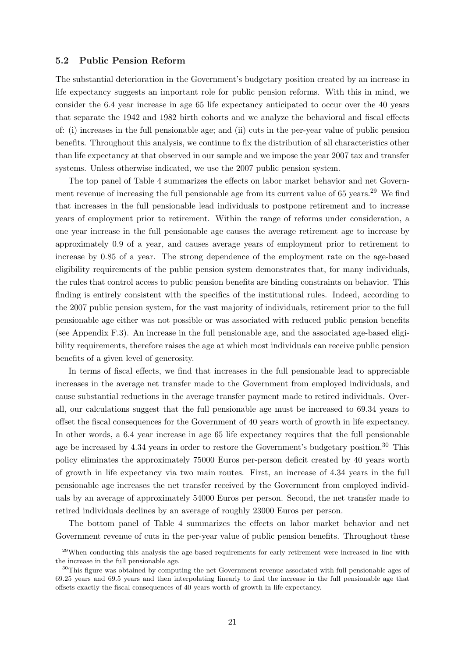#### 5.2 Public Pension Reform

The substantial deterioration in the Government's budgetary position created by an increase in life expectancy suggests an important role for public pension reforms. With this in mind, we consider the 6.4 year increase in age 65 life expectancy anticipated to occur over the 40 years that separate the 1942 and 1982 birth cohorts and we analyze the behavioral and fiscal effects of: (i) increases in the full pensionable age; and (ii) cuts in the per-year value of public pension benefits. Throughout this analysis, we continue to fix the distribution of all characteristics other than life expectancy at that observed in our sample and we impose the year 2007 tax and transfer systems. Unless otherwise indicated, we use the 2007 public pension system.

The top panel of Table 4 summarizes the effects on labor market behavior and net Government revenue of increasing the full pensionable age from its current value of  $65$  years.<sup>29</sup> We find that increases in the full pensionable lead individuals to postpone retirement and to increase years of employment prior to retirement. Within the range of reforms under consideration, a one year increase in the full pensionable age causes the average retirement age to increase by approximately 0.9 of a year, and causes average years of employment prior to retirement to increase by 0.85 of a year. The strong dependence of the employment rate on the age-based eligibility requirements of the public pension system demonstrates that, for many individuals, the rules that control access to public pension benefits are binding constraints on behavior. This finding is entirely consistent with the specifics of the institutional rules. Indeed, according to the 2007 public pension system, for the vast majority of individuals, retirement prior to the full pensionable age either was not possible or was associated with reduced public pension benefits (see Appendix F.3). An increase in the full pensionable age, and the associated age-based eligibility requirements, therefore raises the age at which most individuals can receive public pension benefits of a given level of generosity.

In terms of fiscal effects, we find that increases in the full pensionable lead to appreciable increases in the average net transfer made to the Government from employed individuals, and cause substantial reductions in the average transfer payment made to retired individuals. Overall, our calculations suggest that the full pensionable age must be increased to 69.34 years to offset the fiscal consequences for the Government of 40 years worth of growth in life expectancy. In other words, a 6.4 year increase in age 65 life expectancy requires that the full pensionable age be increased by 4.34 years in order to restore the Government's budgetary position.<sup>30</sup> This policy eliminates the approximately 75000 Euros per-person deficit created by 40 years worth of growth in life expectancy via two main routes. First, an increase of 4.34 years in the full pensionable age increases the net transfer received by the Government from employed individuals by an average of approximately 54000 Euros per person. Second, the net transfer made to retired individuals declines by an average of roughly 23000 Euros per person.

The bottom panel of Table 4 summarizes the effects on labor market behavior and net Government revenue of cuts in the per-year value of public pension benefits. Throughout these

 $^{29}$ When conducting this analysis the age-based requirements for early retirement were increased in line with the increase in the full pensionable age.

<sup>&</sup>lt;sup>30</sup>This figure was obtained by computing the net Government revenue associated with full pensionable ages of 69.25 years and 69.5 years and then interpolating linearly to find the increase in the full pensionable age that offsets exactly the fiscal consequences of 40 years worth of growth in life expectancy.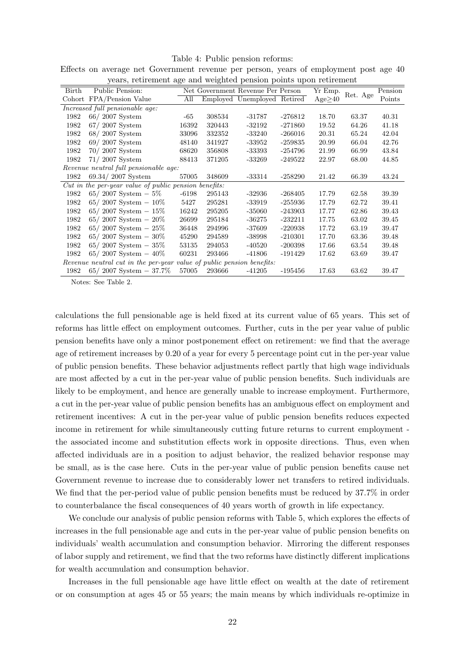#### Table 4: Public pension reforms:

|  |  |  |  |  | Effects on average net Government revenue per person, years of employment post age 40 |  |  |
|--|--|--|--|--|---------------------------------------------------------------------------------------|--|--|
|  |  |  |  |  | years, retirement age and weighted pension points upon retirement                     |  |  |

|       | years, retrement age and weighted pension points apon retrement |         |        |                                   |           |         |          |         |
|-------|-----------------------------------------------------------------|---------|--------|-----------------------------------|-----------|---------|----------|---------|
| Birth | Public Pension:                                                 |         |        | Net Government Revenue Per Person |           | Yr Emp. | Ret. Age | Pension |
|       | Cohort FPA/Pension Value                                        | All     |        | Employed Unemployed Retired       |           | Age>40  |          | Points  |
|       | Increased full pensionable age:                                 |         |        |                                   |           |         |          |         |
| 1982  | $66/2007$ System                                                | -65     | 308534 | $-31787$                          | $-276812$ | 18.70   | 63.37    | 40.31   |
| 1982  | $67/2007$ System                                                | 16392   | 320443 | $-32192$                          | -271860   | 19.52   | 64.26    | 41.18   |
| 1982  | $68/2007$ System                                                | 33096   | 332352 | $-33240$                          | $-266016$ | 20.31   | 65.24    | 42.04   |
| 1982  | $69/2007$ System                                                | 48140   | 341927 | -33952                            | $-259835$ | 20.99   | 66.04    | 42.76   |
| 1982  | $70/2007$ System                                                | 68620   | 356808 | $-33393$                          | $-254796$ | 21.99   | 66.99    | 43.84   |
| 1982  | $71/2007$ System                                                | 88413   | 371205 | -33269                            | $-249522$ | 22.97   | 68.00    | 44.85   |
|       | Revenue neutral full pensionable age:                           |         |        |                                   |           |         |          |         |
| 1982  | $69.34/2007$ System                                             | 57005   | 348609 | $-33314$                          | $-258290$ | 21.42   | 66.39    | 43.24   |
|       | $Cut$ in the per-year value of public pension benefits:         |         |        |                                   |           |         |          |         |
| 1982  | $65/2007$ System $-5\%$                                         | $-6198$ | 295143 | $-32936$                          | $-268405$ | 17.79   | 62.58    | 39.39   |
| 1982  | 65/2007 System $-10\%$                                          | 5427    | 295281 | $-33919$                          | -255936   | 17.79   | 62.72    | 39.41   |
| 1982  | 65/2007 System $-15\%$                                          | 16242   | 295205 | -35060                            | -243903   | 17.77   | 62.86    | 39.43   |
| 1982  | 65/2007 System $-20\%$                                          | 26699   | 295184 | $-36275$                          | $-232211$ | 17.75   | 63.02    | 39.45   |
| 1982  | 65/2007 System $-25\%$                                          | 36448   | 294996 | $-37609$                          | $-220938$ | 17.72   | 63.19    | 39.47   |
| 1982  | 65/2007 System $-30\%$                                          | 45290   | 294589 | -38998                            | $-210301$ | 17.70   | 63.36    | 39.48   |
| 1982  | 65/2007 System $-35%$                                           | 53135   | 294053 | $-40520$                          | $-200398$ | 17.66   | 63.54    | 39.48   |
| 1982  | 65/2007 System $-40\%$                                          | 60231   | 293466 | $-41806$                          | $-191429$ | 17.62   | 63.69    | 39.47   |
|       | Revenue neutral cut in the per-year                             |         |        | value of public pension benefits: |           |         |          |         |
| 1982  | $65/2007$ System $-37.7\%$                                      | 57005   | 293666 | $-41205$                          | -195456   | 17.63   | 63.62    | 39.47   |
|       |                                                                 |         |        |                                   |           |         |          |         |

Notes: See Table 2.

calculations the full pensionable age is held fixed at its current value of 65 years. This set of reforms has little effect on employment outcomes. Further, cuts in the per year value of public pension benefits have only a minor postponement effect on retirement: we find that the average age of retirement increases by 0.20 of a year for every 5 percentage point cut in the per-year value of public pension benefits. These behavior adjustments reflect partly that high wage individuals are most affected by a cut in the per-year value of public pension benefits. Such individuals are likely to be employment, and hence are generally unable to increase employment. Furthermore, a cut in the per-year value of public pension benefits has an ambiguous effect on employment and retirement incentives: A cut in the per-year value of public pension benefits reduces expected income in retirement for while simultaneously cutting future returns to current employment the associated income and substitution effects work in opposite directions. Thus, even when affected individuals are in a position to adjust behavior, the realized behavior response may be small, as is the case here. Cuts in the per-year value of public pension benefits cause net Government revenue to increase due to considerably lower net transfers to retired individuals. We find that the per-period value of public pension benefits must be reduced by 37.7% in order to counterbalance the fiscal consequences of 40 years worth of growth in life expectancy.

We conclude our analysis of public pension reforms with Table 5, which explores the effects of increases in the full pensionable age and cuts in the per-year value of public pension benefits on individuals' wealth accumulation and consumption behavior. Mirroring the different responses of labor supply and retirement, we find that the two reforms have distinctly different implications for wealth accumulation and consumption behavior.

Increases in the full pensionable age have little effect on wealth at the date of retirement or on consumption at ages 45 or 55 years; the main means by which individuals re-optimize in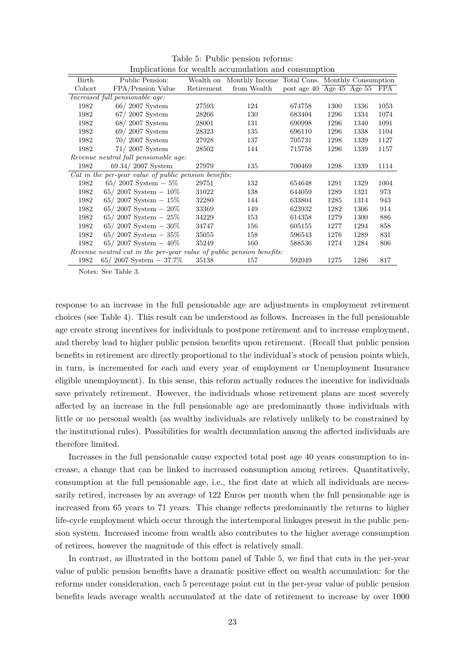| Birth   | Public Pension:                                               | Wealth on  | Monthly Income Total Cons. Monthly Consumption |                                         |      |      |      |
|---------|---------------------------------------------------------------|------------|------------------------------------------------|-----------------------------------------|------|------|------|
| Cohort  | FPA/Pension Value                                             | Retirement | from Wealth                                    | post age 40 $\overline{Age\ 45}$ Age 55 |      |      | FPA  |
|         | Increased full pensionable age:                               |            |                                                |                                         |      |      |      |
| 1982    | $66/2007$ System                                              | 27593      | 124                                            | 674758                                  | 1300 | 1336 | 1053 |
| 1982    | $67/2007$ System                                              | 28266      | 130                                            | 683404                                  | 1296 | 1334 | 1074 |
| 1982    | $68/2007$ System                                              | 28001      | 131                                            | 690998                                  | 1296 | 1340 | 1091 |
| 1982    | $69/2007$ System                                              | 28323      | 135                                            | 696110                                  | 1296 | 1338 | 1104 |
| 1982    | $70/2007$ System                                              | 27928      | 137                                            | 705731                                  | 1298 | 1339 | 1127 |
| 1982    | $71/2007$ System                                              | 28502      | 144                                            | 715758                                  | 1296 | 1339 | 1157 |
|         | Revenue neutral full pensionable age:                         |            |                                                |                                         |      |      |      |
| 1982    | $69.34 / 2007$ System                                         | 27979      | 135                                            | 700469                                  | 1298 | 1339 | 1114 |
|         | $Cut$ in the per-year value of public pension benefits:       |            |                                                |                                         |      |      |      |
| 1982    | 65/2007 System $-5\%$                                         | 29751      | 132                                            | 654648                                  | 1291 | 1329 | 1004 |
| 1982    | 65/2007 System $-10\%$                                        | 31022      | 138                                            | 644059                                  | 1289 | 1321 | 973  |
| 1982    | 65/2007 System $-15\%$                                        | 32280      | 144                                            | 633804                                  | 1285 | 1314 | 943  |
| 1982    | 65/2007 System $-20\%$                                        | 33369      | 149                                            | 623932                                  | 1282 | 1306 | 914  |
| 1982    | 65/2007 System $-25\%$                                        | 34229      | 153                                            | 614358                                  | 1279 | 1300 | 886  |
| 1982    | 65/2007 System $-30\%$                                        | 34747      | 156                                            | 605155                                  | 1277 | 1294 | 858  |
| 1982    | 65/2007 System $-35\%$                                        | 35055      | 158                                            | 596543                                  | 1276 | 1289 | 831  |
| 1982    | 65/2007 System $-40\%$                                        | 35249      | 160                                            | 588536                                  | 1274 | 1284 | 806  |
| Revenue | neutral cut in the per-year value of public pension benefits: |            |                                                |                                         |      |      |      |
| 1982    | $65/2007$ System $-37.7\%$                                    | 35138      | 157                                            | 592049                                  | 1275 | 1286 | 817  |

Table 5: Public pension reforms: Implications for wealth accumulation and consumption

Notes: See Table 3.

response to an increase in the full pensionable age are adjustments in employment retirement choices (see Table 4). This result can be understood as follows. Increases in the full pensionable age create strong incentives for individuals to postpone retirement and to increase employment, and thereby lead to higher public pension benefits upon retirement. (Recall that public pension benefits in retirement are directly proportional to the individual's stock of pension points which, in turn, is incremented for each and every year of employment or Unemployment Insurance eligible unemployment). In this sense, this reform actually reduces the incentive for individuals save privately retirement. However, the individuals whose retirement plans are most severely affected by an increase in the full pensionable age are predominantly those individuals with little or no personal wealth (as wealthy individuals are relatively unlikely to be constrained by the institutional rules). Possibilities for wealth decumulation among the affected individuals are therefore limited.

Increases in the full pensionable cause expected total post age 40 years consumption to increase, a change that can be linked to increased consumption among retirees. Quantitatively, consumption at the full pensionable age, i.e., the first date at which all individuals are necessarily retired, increases by an average of 122 Euros per month when the full pensionable age is increased from 65 years to 71 years. This change reflects predominantly the returns to higher life-cycle employment which occur through the intertemporal linkages present in the public pension system. Increased income from wealth also contributes to the higher average consumption of retirees, however the magnitude of this effect is relatively small.

In contrast, as illustrated in the bottom panel of Table 5, we find that cuts in the per-year value of public pension benefits have a dramatic positive effect on wealth accumulation: for the reforms under consideration, each 5 percentage point cut in the per-year value of public pension benefits leads average wealth accumulated at the date of retirement to increase by over 1000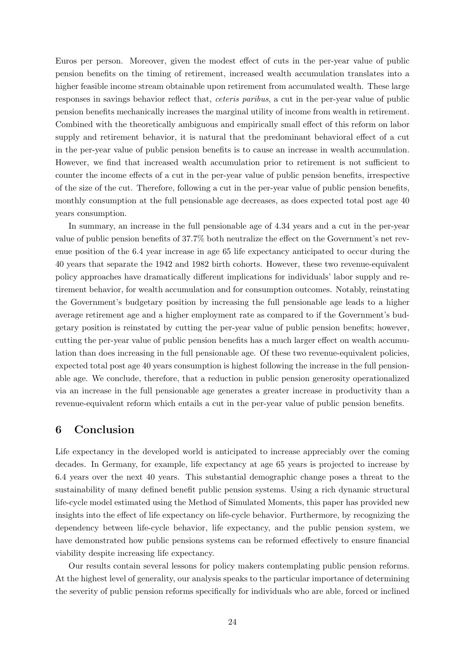Euros per person. Moreover, given the modest effect of cuts in the per-year value of public pension benefits on the timing of retirement, increased wealth accumulation translates into a higher feasible income stream obtainable upon retirement from accumulated wealth. These large responses in savings behavior reflect that, ceteris paribus, a cut in the per-year value of public pension benefits mechanically increases the marginal utility of income from wealth in retirement. Combined with the theoretically ambiguous and empirically small effect of this reform on labor supply and retirement behavior, it is natural that the predominant behavioral effect of a cut in the per-year value of public pension benefits is to cause an increase in wealth accumulation. However, we find that increased wealth accumulation prior to retirement is not sufficient to counter the income effects of a cut in the per-year value of public pension benefits, irrespective of the size of the cut. Therefore, following a cut in the per-year value of public pension benefits, monthly consumption at the full pensionable age decreases, as does expected total post age 40 years consumption.

In summary, an increase in the full pensionable age of 4.34 years and a cut in the per-year value of public pension benefits of 37.7% both neutralize the effect on the Government's net revenue position of the 6.4 year increase in age 65 life expectancy anticipated to occur during the 40 years that separate the 1942 and 1982 birth cohorts. However, these two revenue-equivalent policy approaches have dramatically different implications for individuals' labor supply and retirement behavior, for wealth accumulation and for consumption outcomes. Notably, reinstating the Government's budgetary position by increasing the full pensionable age leads to a higher average retirement age and a higher employment rate as compared to if the Government's budgetary position is reinstated by cutting the per-year value of public pension benefits; however, cutting the per-year value of public pension benefits has a much larger effect on wealth accumulation than does increasing in the full pensionable age. Of these two revenue-equivalent policies, expected total post age 40 years consumption is highest following the increase in the full pensionable age. We conclude, therefore, that a reduction in public pension generosity operationalized via an increase in the full pensionable age generates a greater increase in productivity than a revenue-equivalent reform which entails a cut in the per-year value of public pension benefits.

## 6 Conclusion

Life expectancy in the developed world is anticipated to increase appreciably over the coming decades. In Germany, for example, life expectancy at age 65 years is projected to increase by 6.4 years over the next 40 years. This substantial demographic change poses a threat to the sustainability of many defined benefit public pension systems. Using a rich dynamic structural life-cycle model estimated using the Method of Simulated Moments, this paper has provided new insights into the effect of life expectancy on life-cycle behavior. Furthermore, by recognizing the dependency between life-cycle behavior, life expectancy, and the public pension system, we have demonstrated how public pensions systems can be reformed effectively to ensure financial viability despite increasing life expectancy.

Our results contain several lessons for policy makers contemplating public pension reforms. At the highest level of generality, our analysis speaks to the particular importance of determining the severity of public pension reforms specifically for individuals who are able, forced or inclined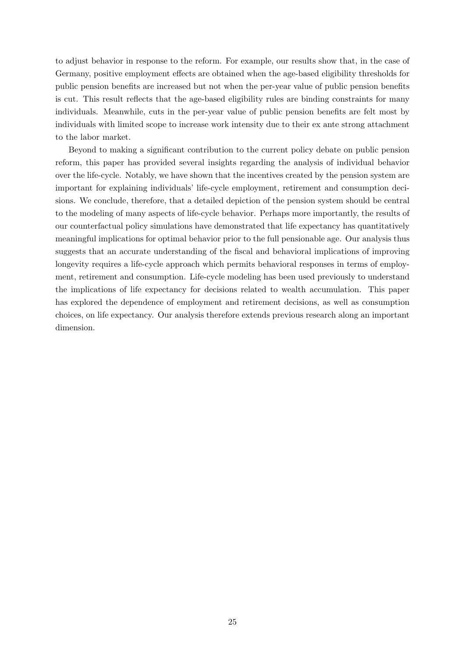to adjust behavior in response to the reform. For example, our results show that, in the case of Germany, positive employment effects are obtained when the age-based eligibility thresholds for public pension benefits are increased but not when the per-year value of public pension benefits is cut. This result reflects that the age-based eligibility rules are binding constraints for many individuals. Meanwhile, cuts in the per-year value of public pension benefits are felt most by individuals with limited scope to increase work intensity due to their ex ante strong attachment to the labor market.

Beyond to making a significant contribution to the current policy debate on public pension reform, this paper has provided several insights regarding the analysis of individual behavior over the life-cycle. Notably, we have shown that the incentives created by the pension system are important for explaining individuals' life-cycle employment, retirement and consumption decisions. We conclude, therefore, that a detailed depiction of the pension system should be central to the modeling of many aspects of life-cycle behavior. Perhaps more importantly, the results of our counterfactual policy simulations have demonstrated that life expectancy has quantitatively meaningful implications for optimal behavior prior to the full pensionable age. Our analysis thus suggests that an accurate understanding of the fiscal and behavioral implications of improving longevity requires a life-cycle approach which permits behavioral responses in terms of employment, retirement and consumption. Life-cycle modeling has been used previously to understand the implications of life expectancy for decisions related to wealth accumulation. This paper has explored the dependence of employment and retirement decisions, as well as consumption choices, on life expectancy. Our analysis therefore extends previous research along an important dimension.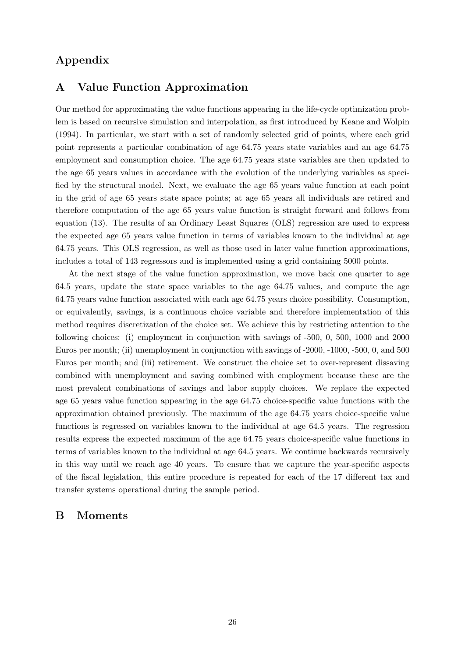# Appendix

## A Value Function Approximation

Our method for approximating the value functions appearing in the life-cycle optimization problem is based on recursive simulation and interpolation, as first introduced by Keane and Wolpin (1994). In particular, we start with a set of randomly selected grid of points, where each grid point represents a particular combination of age 64.75 years state variables and an age 64.75 employment and consumption choice. The age 64.75 years state variables are then updated to the age 65 years values in accordance with the evolution of the underlying variables as specified by the structural model. Next, we evaluate the age 65 years value function at each point in the grid of age 65 years state space points; at age 65 years all individuals are retired and therefore computation of the age 65 years value function is straight forward and follows from equation (13). The results of an Ordinary Least Squares (OLS) regression are used to express the expected age 65 years value function in terms of variables known to the individual at age 64.75 years. This OLS regression, as well as those used in later value function approximations, includes a total of 143 regressors and is implemented using a grid containing 5000 points.

At the next stage of the value function approximation, we move back one quarter to age 64.5 years, update the state space variables to the age 64.75 values, and compute the age 64.75 years value function associated with each age 64.75 years choice possibility. Consumption, or equivalently, savings, is a continuous choice variable and therefore implementation of this method requires discretization of the choice set. We achieve this by restricting attention to the following choices: (i) employment in conjunction with savings of -500, 0, 500, 1000 and 2000 Euros per month; (ii) unemployment in conjunction with savings of -2000, -1000, -500, 0, and 500 Euros per month; and (iii) retirement. We construct the choice set to over-represent dissaving combined with unemployment and saving combined with employment because these are the most prevalent combinations of savings and labor supply choices. We replace the expected age 65 years value function appearing in the age 64.75 choice-specific value functions with the approximation obtained previously. The maximum of the age 64.75 years choice-specific value functions is regressed on variables known to the individual at age 64.5 years. The regression results express the expected maximum of the age 64.75 years choice-specific value functions in terms of variables known to the individual at age 64.5 years. We continue backwards recursively in this way until we reach age 40 years. To ensure that we capture the year-specific aspects of the fiscal legislation, this entire procedure is repeated for each of the 17 different tax and transfer systems operational during the sample period.

## B Moments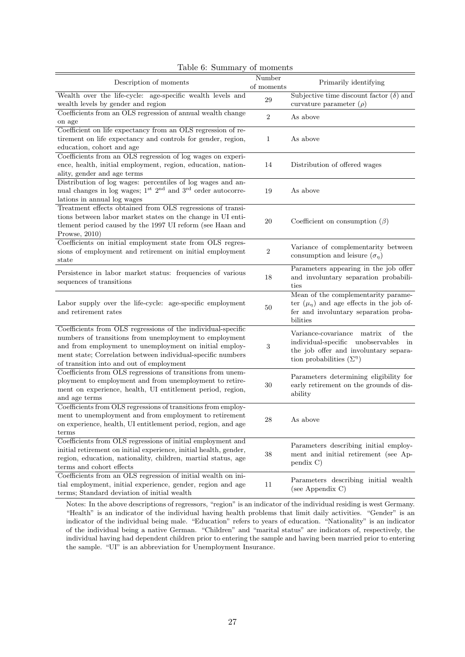| Description of moments                                                                                                                                                                                                                                                                      | Number<br>of moments | Primarily identifying                                                                                                                                                |
|---------------------------------------------------------------------------------------------------------------------------------------------------------------------------------------------------------------------------------------------------------------------------------------------|----------------------|----------------------------------------------------------------------------------------------------------------------------------------------------------------------|
| Wealth over the life-cycle: age-specific wealth levels and<br>wealth levels by gender and region                                                                                                                                                                                            | 29                   | Subjective time discount factor $(\delta)$ and<br>curvature parameter $(\rho)$                                                                                       |
| Coefficients from an OLS regression of annual wealth change<br>on age                                                                                                                                                                                                                       | $\overline{2}$       | As above                                                                                                                                                             |
| Coefficient on life expectancy from an OLS regression of re-<br>tirement on life expectancy and controls for gender, region,<br>education, cohort and age                                                                                                                                   | $\mathbf{1}$         | As above                                                                                                                                                             |
| Coefficients from an OLS regression of log wages on experi-<br>ence, health, initial employment, region, education, nation-<br>ality, gender and age terms                                                                                                                                  | 14                   | Distribution of offered wages                                                                                                                                        |
| Distribution of log wages: percentiles of log wages and an-<br>nual changes in log wages; $1st$ $2nd$ and $3rd$ order autocorre-<br>lations in annual log wages                                                                                                                             | 19                   | As above                                                                                                                                                             |
| Treatment effects obtained from OLS regressions of transi-<br>tions between labor market states on the change in UI enti-<br>tlement period caused by the 1997 UI reform (see Haan and<br>Prowse, $2010$ )                                                                                  | 20                   | Coefficient on consumption $(\beta)$                                                                                                                                 |
| Coefficients on initial employment state from OLS regres-<br>sions of employment and retirement on initial employment<br>state                                                                                                                                                              | $\,2$                | Variance of complementarity between<br>consumption and leisure $(\sigma_{\eta})$                                                                                     |
| Persistence in labor market status: frequencies of various<br>sequences of transitions                                                                                                                                                                                                      | 18                   | Parameters appearing in the job offer<br>and involuntary separation probabili-<br>ties                                                                               |
| Labor supply over the life-cycle: age-specific employment<br>and retirement rates                                                                                                                                                                                                           | 50                   | Mean of the complementarity parame-<br>ter $(\mu_{\eta})$ and age effects in the job of-<br>fer and involuntary separation proba-<br>bilities                        |
| Coefficients from OLS regressions of the individual-specific<br>numbers of transitions from unemployment to employment<br>and from employment to unemployment on initial employ-<br>ment state; Correlation between individual-specific numbers<br>of transition into and out of employment | 3                    | Variance-covariance matrix<br>-of<br>the<br>individual-specific unobservables<br>in<br>the job offer and involuntary separa-<br>tion probabilities $(\Sigma^{\eta})$ |
| Coefficients from OLS regressions of transitions from unem-<br>ployment to employment and from unemployment to retire-<br>ment on experience, health, UI entitlement period, region,<br>and age terms                                                                                       | 30                   | Parameters determining eligibility for<br>early retirement on the grounds of dis-<br>ability                                                                         |
| Coefficients from OLS regressions of transitions from employ-<br>ment to unemployment and from employment to retirement<br>on experience, health, UI entitlement period, region, and age<br>terms                                                                                           | 28                   | As above                                                                                                                                                             |
| Coefficients from OLS regressions of initial employment and<br>initial retirement on initial experience, initial health, gender,<br>region, education, nationality, children, martial status, age<br>terms and cohort effects                                                               | 38                   | Parameters describing initial employ-<br>ment and initial retirement (see Ap-<br>pendix C)                                                                           |
| Coefficients from an OLS regression of initial wealth on ini-<br>tial employment, initial experience, gender, region and age<br>terms; Standard deviation of initial wealth                                                                                                                 | 11                   | Parameters describing initial wealth<br>(see Appendix C)                                                                                                             |

|  |  | Table 6: Summary of moments |  |
|--|--|-----------------------------|--|
|--|--|-----------------------------|--|

Notes: In the above descriptions of regressors, "region" is an indicator of the individual residing is west Germany. "Health" is an indicator of the individual having health problems that limit daily activities. "Gender" is an indicator of the individual being male. "Education" refers to years of education. "Nationality" is an indicator of the individual being a native German. "Children" and "marital status" are indicators of, respectively, the individual having had dependent children prior to entering the sample and having been married prior to entering the sample. "UI" is an abbreviation for Unemployment Insurance.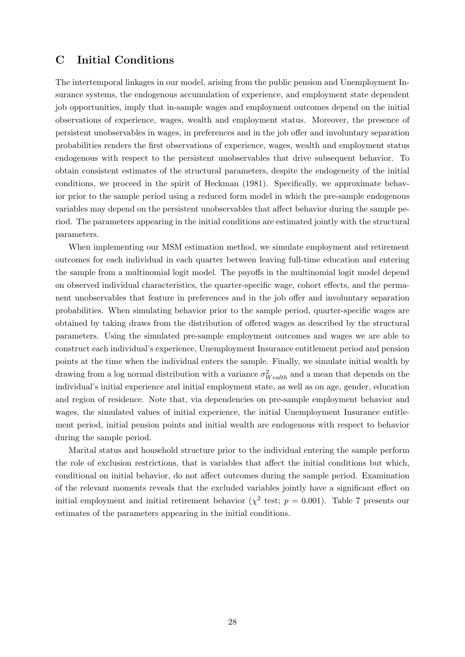## C Initial Conditions

The intertemporal linkages in our model, arising from the public pension and Unemployment Insurance systems, the endogenous accumulation of experience, and employment state dependent job opportunities, imply that in-sample wages and employment outcomes depend on the initial observations of experience, wages, wealth and employment status. Moreover, the presence of persistent unobservables in wages, in preferences and in the job offer and involuntary separation probabilities renders the first observations of experience, wages, wealth and employment status endogenous with respect to the persistent unobservables that drive subsequent behavior. To obtain consistent estimates of the structural parameters, despite the endogeneity of the initial conditions, we proceed in the spirit of Heckman (1981). Specifically, we approximate behavior prior to the sample period using a reduced form model in which the pre-sample endogenous variables may depend on the persistent unobservables that affect behavior during the sample period. The parameters appearing in the initial conditions are estimated jointly with the structural parameters.

When implementing our MSM estimation method, we simulate employment and retirement outcomes for each individual in each quarter between leaving full-time education and entering the sample from a multinomial logit model. The payoffs in the multinomial logit model depend on observed individual characteristics, the quarter-specific wage, cohort effects, and the permanent unobservables that feature in preferences and in the job offer and involuntary separation probabilities. When simulating behavior prior to the sample period, quarter-specific wages are obtained by taking draws from the distribution of offered wages as described by the structural parameters. Using the simulated pre-sample employment outcomes and wages we are able to construct each individual's experience, Unemployment Insurance entitlement period and pension points at the time when the individual enters the sample. Finally, we simulate initial wealth by drawing from a log normal distribution with a variance  $\sigma_{Weakh}^2$  and a mean that depends on the individual's initial experience and initial employment state, as well as on age, gender, education and region of residence. Note that, via dependencies on pre-sample employment behavior and wages, the simulated values of initial experience, the initial Unemployment Insurance entitlement period, initial pension points and initial wealth are endogenous with respect to behavior during the sample period.

Marital status and household structure prior to the individual entering the sample perform the role of exclusion restrictions, that is variables that affect the initial conditions but which, conditional on initial behavior, do not affect outcomes during the sample period. Examination of the relevant moments reveals that the excluded variables jointly have a significant effect on initial employment and initial retirement behavior ( $\chi^2$  test;  $p = 0.001$ ). Table 7 presents our estimates of the parameters appearing in the initial conditions.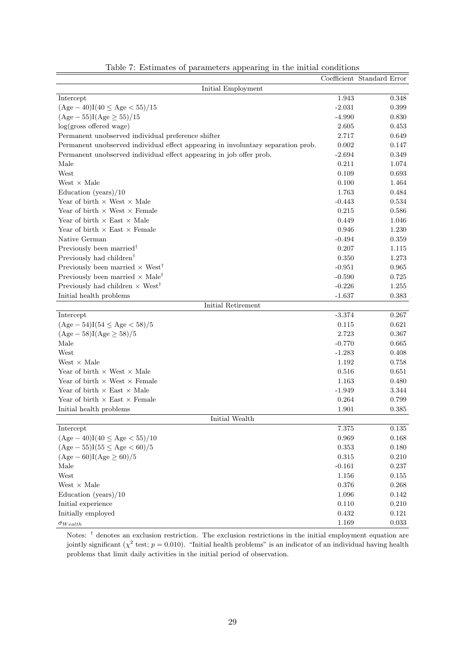|                                                                                  |             | Coefficient Standard Error |
|----------------------------------------------------------------------------------|-------------|----------------------------|
| Initial Employment                                                               |             |                            |
| Intercept                                                                        | 1.943       | 0.348                      |
| $(Age-40)I(40 \le Age < 55)/15$                                                  | $-2.031$    | 0.399                      |
| $(Age - 55)I(Age \ge 55)/15$                                                     | $-4.990$    | 0.830                      |
| $log(gross$ offered wage)                                                        | 2.605       | 0.453                      |
| Permanent unobserved individual preference shifter                               | 2.717       | 0.649                      |
| Permanent unobserved individual effect appearing in involuntary separation prob. | 0.002       | 0.147                      |
| Permanent unobserved individual effect appearing in job offer prob.              | $-2.694$    | 0.349                      |
| Male                                                                             | 0.211       | 1.074                      |
| West                                                                             | 0.109       | 0.693                      |
| West $\times$ Male                                                               | 0.100       | 1.464                      |
| Education (years) $/10$                                                          | 1.763       | 0.484                      |
| Year of birth $\times$ West $\times$ Male                                        | $-0.443$    | 0.534                      |
| Year of birth $\times$ West $\times$ Female                                      | 0.215       | 0.586                      |
| Year of birth $\times$ East $\times$ Male                                        | 0.449       | 1.046                      |
| Year of birth $\times$ East $\times$ Female                                      | 0.946       | 1.230                      |
| Native German                                                                    | $-0.494$    | 0.359                      |
| Previously been married <sup>†</sup>                                             | 0.207       | 1.115                      |
| Previously had children <sup>†</sup>                                             | 0.350       | 1.273                      |
| Previously been married $\times$ West <sup>†</sup>                               | $-0.951$    | 0.965                      |
| Previously been married $\times$ Male <sup>†</sup>                               | $-0.590$    | 0.725                      |
| Previously had children $\times$ West <sup>†</sup>                               | $-0.226$    | 1.255                      |
| Initial health problems                                                          | $-1.637$    | 0.383                      |
| Initial Retirement                                                               |             |                            |
| Intercept                                                                        | $-3.374$    | 0.267                      |
| $(Age - 54)I(54 \le Age < 58)/5$                                                 | 0.115       | 0.621                      |
| $(Age - 58)I(Age \ge 58)/5$                                                      | 2.723       | 0.367                      |
| Male                                                                             | $-0.770$    | 0.665                      |
| West                                                                             | $-1.283$    | 0.408                      |
| West $\times$ Male                                                               | 1.192       | 0.758                      |
| Year of birth $\times$ West $\times$ Male                                        | 0.516       | 0.651                      |
| Year of birth $\times$ West $\times$ Female                                      | 1.163       | 0.480                      |
| Year of birth $\times$ East $\times$ Male                                        | $-1.949$    | 3.344                      |
| Year of birth $\times$ East $\times$ Female                                      | 0.264       | 0.799                      |
| Initial health problems                                                          | 1.901       | 0.385                      |
| Initial Wealth                                                                   |             |                            |
| Intercept                                                                        | 7.375       | $0.135\,$                  |
| $(Age - 40)I(40 \le Age < 55)/10$                                                | 0.969       | $0.168\,$                  |
| $(Age - 55)I(55 \le Age < 60)/5$                                                 | $\,0.353\,$ | $0.180\,$                  |
| $(Age - 60)I(Age \ge 60)/5$                                                      | $\!0.315$   | $0.210\,$                  |
| Male                                                                             | $-0.161$    | 0.237                      |
| West                                                                             | 1.156       | 0.155                      |
| West $\times$ Male                                                               | $0.376\,$   | 0.268                      |
| Education (years) $/10$                                                          | 1.096       | 0.142                      |
| Initial experience                                                               | 0.110       | 0.210                      |
| Initially employed                                                               | 0.432       | $0.121\,$                  |
| $\sigma_{Wealth}$                                                                | 1.169       | $\,0.033\,$                |

Table 7: Estimates of parameters appearing in the initial conditions

Notes: † denotes an exclusion restriction. The exclusion restrictions in the initial employment equation are jointly significant  $(\chi^2 \text{ test}; p = 0.010)$ . "Initial health problems" is an indicator of an individual having health problems that limit daily activities in the initial period of observation.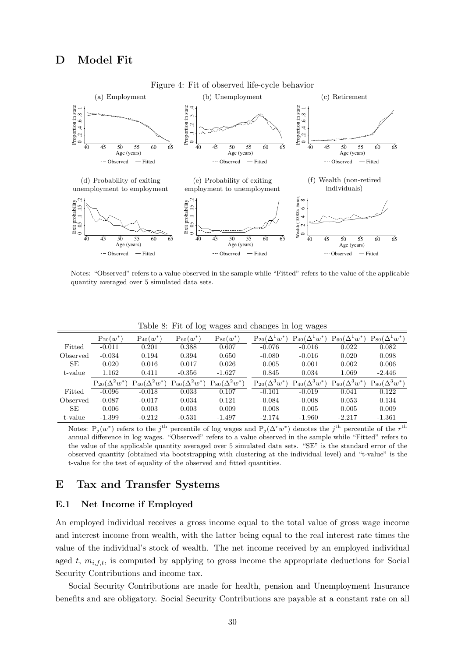

Notes: "Observed" refers to a value observed in the sample while "Fitted" refers to the value of the applicable quantity averaged over 5 simulated data sets.

|           | $P_{20}(w^*)$          | $P_{40}(w^*)$          | $P_{60}(w^*)$          | $P_{80}(w^*)$          | $P_{20}(\Delta^1 w^*)$ | $P_{40}(\Delta^1 w^*)$ | $(\Delta^1 w^*)$<br>$P_{60}$ | $P_{80}(\Delta^1 w^*)$ |
|-----------|------------------------|------------------------|------------------------|------------------------|------------------------|------------------------|------------------------------|------------------------|
| Fitted    | $-0.011$               | 0.201                  | 0.388                  | 0.607                  | $-0.076$               | $-0.016$               | 0.022                        | 0.082                  |
| Observed  | $-0.034$               | 0.194                  | 0.394                  | 0.650                  | $-0.080$               | $-0.016$               | 0.020                        | 0.098                  |
| SЕ        | 0.020                  | 0.016                  | 0.017                  | 0.026                  | 0.005                  | 0.001                  | 0.002                        | 0.006                  |
| t-value   | 1.162                  | 0.411                  | $-0.356$               | $-1.627$               | 0.845                  | 0.034                  | 1.069                        | $-2.446$               |
|           | $P_{20}(\Delta^2 w^*)$ | $P_{40}(\Delta^2 w^*)$ | $P_{60}(\Delta^2 w^*)$ | $P_{80}(\Delta^2 w^*)$ | $P_{20}(\Delta^3 w^*)$ | $P_{40}(\Delta^3 w^*)$ | $(\Delta^3 w^*)$<br>$P_{60}$ | $P_{80}(\Delta^3 w^*)$ |
| Fitted    | $-0.096$               | $-0.018$               | 0.033                  | 0.107                  | $-0.101$               | $-0.019$               | 0.041                        | 0.122                  |
| Observed  | $-0.087$               | $-0.017$               | 0.034                  | 0.121                  | $-0.084$               | $-0.008$               | 0.053                        | 0.134                  |
| <b>SE</b> | 0.006                  | 0.003                  | 0.003                  | 0.009                  | 0.008                  | 0.005                  | 0.005                        | 0.009                  |
| t-value   | $-1.399$               | $-0.212$               | $-0.531$               | $-1.497$               | $-2.174$               | $-1.960$               | $-2.217$                     | $-1.361$               |

Table 8: Fit of log wages and changes in log wages

Notes:  $P_j(w^*)$  refers to the j<sup>th</sup> percentile of log wages and  $P_j(\Delta^r w^*)$  denotes the j<sup>th</sup> percentile of the r<sup>th</sup> annual difference in log wages. "Observed" refers to a value observed in the sample while "Fitted" refers to the value of the applicable quantity averaged over 5 simulated data sets. "SE" is the standard error of the observed quantity (obtained via bootstrapping with clustering at the individual level) and "t-value" is the t-value for the test of equality of the observed and fitted quantities.

## E Tax and Transfer Systems

## E.1 Net Income if Employed

An employed individual receives a gross income equal to the total value of gross wage income and interest income from wealth, with the latter being equal to the real interest rate times the value of the individual's stock of wealth. The net income received by an employed individual aged  $t$ ,  $m_{i,f,t}$ , is computed by applying to gross income the appropriate deductions for Social Security Contributions and income tax.

Social Security Contributions are made for health, pension and Unemployment Insurance benefits and are obligatory. Social Security Contributions are payable at a constant rate on all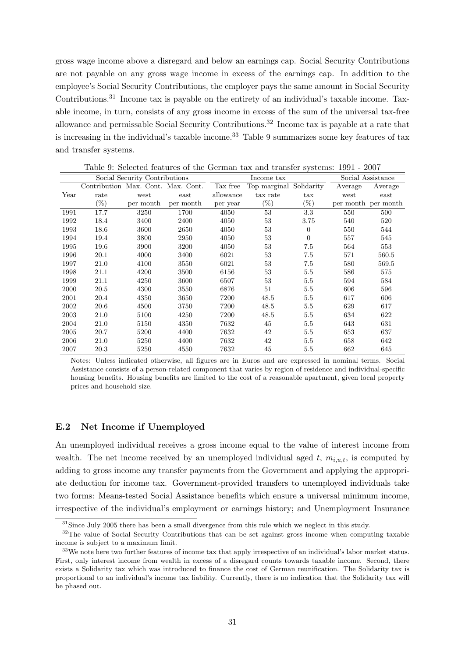gross wage income above a disregard and below an earnings cap. Social Security Contributions are not payable on any gross wage income in excess of the earnings cap. In addition to the employee's Social Security Contributions, the employer pays the same amount in Social Security Contributions.<sup>31</sup> Income tax is payable on the entirety of an individual's taxable income. Taxable income, in turn, consists of any gross income in excess of the sum of the universal tax-free allowance and permissable Social Security Contributions.<sup>32</sup> Income tax is payable at a rate that is increasing in the individual's taxable income.<sup>33</sup> Table 9 summarizes some key features of tax and transfer systems.

|      | Social Security Contributions      |           |           |           | Income tax   |                      | Social Assistance |                     |  |
|------|------------------------------------|-----------|-----------|-----------|--------------|----------------------|-------------------|---------------------|--|
|      | Contribution Max. Cont. Max. Cont. |           |           | Tax free  | Top marginal | Solidarity           | Average           | Average             |  |
| Year | rate                               | west      | east      | allowance | tax rate     | $\operatorname{tax}$ | west              | east                |  |
|      | $(\%)$                             | per month | per month | per year  | $(\%)$       | $(\%)$               |                   | per month per month |  |
| 1991 | 17.7                               | 3250      | 1700      | 4050      | 53           | 3.3                  | 550               | 500                 |  |
| 1992 | 18.4                               | 3400      | 2400      | 4050      | 53           | 3.75                 | 540               | 520                 |  |
| 1993 | 18.6                               | 3600      | 2650      | 4050      | 53           | $\Omega$             | 550               | 544                 |  |
| 1994 | 19.4                               | 3800      | 2950      | 4050      | 53           | $\Omega$             | 557               | 545                 |  |
| 1995 | 19.6                               | 3900      | 3200      | 4050      | 53           | 7.5                  | 564               | 553                 |  |
| 1996 | 20.1                               | 4000      | 3400      | 6021      | 53           | 7.5                  | 571               | 560.5               |  |
| 1997 | 21.0                               | 4100      | 3550      | 6021      | 53           | 7.5                  | 580               | 569.5               |  |
| 1998 | 21.1                               | 4200      | 3500      | 6156      | 53           | 5.5                  | 586               | 575                 |  |
| 1999 | 21.1                               | 4250      | 3600      | 6507      | 53           | 5.5                  | 594               | 584                 |  |
| 2000 | 20.5                               | 4300      | 3550      | 6876      | 51           | 5.5                  | 606               | 596                 |  |
| 2001 | 20.4                               | 4350      | 3650      | 7200      | 48.5         | 5.5                  | 617               | 606                 |  |
| 2002 | 20.6                               | 4500      | 3750      | 7200      | 48.5         | 5.5                  | 629               | 617                 |  |
| 2003 | 21.0                               | 5100      | 4250      | 7200      | 48.5         | 5.5                  | 634               | 622                 |  |
| 2004 | 21.0                               | 5150      | 4350      | 7632      | 45           | 5.5                  | 643               | 631                 |  |
| 2005 | 20.7                               | 5200      | 4400      | 7632      | 42           | 5.5                  | 653               | 637                 |  |
| 2006 | 21.0                               | 5250      | 4400      | 7632      | 42           | 5.5                  | 658               | 642                 |  |
| 2007 | 20.3                               | 5250      | 4550      | 7632      | 45           | 5.5                  | 662               | 645                 |  |

Table 9: Selected features of the German tax and transfer systems: 1991 - 2007

Notes: Unless indicated otherwise, all figures are in Euros and are expressed in nominal terms. Social Assistance consists of a person-related component that varies by region of residence and individual-specific housing benefits. Housing benefits are limited to the cost of a reasonable apartment, given local property prices and household size.

#### E.2 Net Income if Unemployed

An unemployed individual receives a gross income equal to the value of interest income from wealth. The net income received by an unemployed individual aged  $t$ ,  $m_{i,u,t}$ , is computed by adding to gross income any transfer payments from the Government and applying the appropriate deduction for income tax. Government-provided transfers to unemployed individuals take two forms: Means-tested Social Assistance benefits which ensure a universal minimum income, irrespective of the individual's employment or earnings history; and Unemployment Insurance

<sup>&</sup>lt;sup>31</sup>Since July 2005 there has been a small divergence from this rule which we neglect in this study.

<sup>&</sup>lt;sup>32</sup>The value of Social Security Contributions that can be set against gross income when computing taxable income is subject to a maximum limit.

<sup>&</sup>lt;sup>33</sup>We note here two further features of income tax that apply irrespective of an individual's labor market status. First, only interest income from wealth in excess of a disregard counts towards taxable income. Second, there exists a Solidarity tax which was introduced to finance the cost of German reunification. The Solidarity tax is proportional to an individual's income tax liability. Currently, there is no indication that the Solidarity tax will be phased out.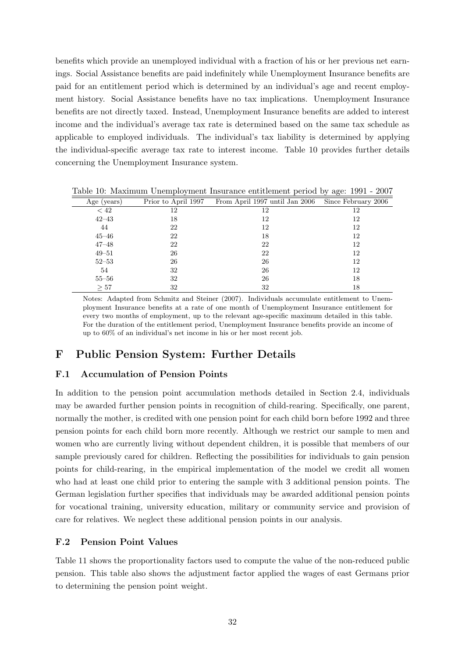benefits which provide an unemployed individual with a fraction of his or her previous net earnings. Social Assistance benefits are paid indefinitely while Unemployment Insurance benefits are paid for an entitlement period which is determined by an individual's age and recent employment history. Social Assistance benefits have no tax implications. Unemployment Insurance benefits are not directly taxed. Instead, Unemployment Insurance benefits are added to interest income and the individual's average tax rate is determined based on the same tax schedule as applicable to employed individuals. The individual's tax liability is determined by applying the individual-specific average tax rate to interest income. Table 10 provides further details concerning the Unemployment Insurance system.

| Age (years) | Prior to April 1997 | From April 1997 until Jan 2006 | Since February 2006 |
|-------------|---------------------|--------------------------------|---------------------|
| < 42        | 12                  | 12                             | 12                  |
| $42 - 43$   | 18                  | 12                             | 12                  |
| 44          | 22                  | 12                             | 12                  |
| $45 - 46$   | 22                  | 18                             | 12                  |
| $47 - 48$   | 22                  | 22                             | 12                  |
| $49 - 51$   | 26                  | 22                             | 12                  |
| $52 - 53$   | 26                  | 26                             | 12                  |
| 54          | 32                  | 26                             | 12                  |
| $55 - 56$   | 32                  | 26                             | 18                  |
| >57         | 32                  | 32                             | 18                  |

Table 10: Maximum Unemployment Insurance entitlement period by age: 1991 - 2007

Notes: Adapted from Schmitz and Steiner (2007). Individuals accumulate entitlement to Unemployment Insurance benefits at a rate of one month of Unemployment Insurance entitlement for every two months of employment, up to the relevant age-specific maximum detailed in this table. For the duration of the entitlement period, Unemployment Insurance benefits provide an income of up to 60% of an individual's net income in his or her most recent job.

## F Public Pension System: Further Details

## F.1 Accumulation of Pension Points

In addition to the pension point accumulation methods detailed in Section 2.4, individuals may be awarded further pension points in recognition of child-rearing. Specifically, one parent, normally the mother, is credited with one pension point for each child born before 1992 and three pension points for each child born more recently. Although we restrict our sample to men and women who are currently living without dependent children, it is possible that members of our sample previously cared for children. Reflecting the possibilities for individuals to gain pension points for child-rearing, in the empirical implementation of the model we credit all women who had at least one child prior to entering the sample with 3 additional pension points. The German legislation further specifies that individuals may be awarded additional pension points for vocational training, university education, military or community service and provision of care for relatives. We neglect these additional pension points in our analysis.

#### F.2 Pension Point Values

Table 11 shows the proportionality factors used to compute the value of the non-reduced public pension. This table also shows the adjustment factor applied the wages of east Germans prior to determining the pension point weight.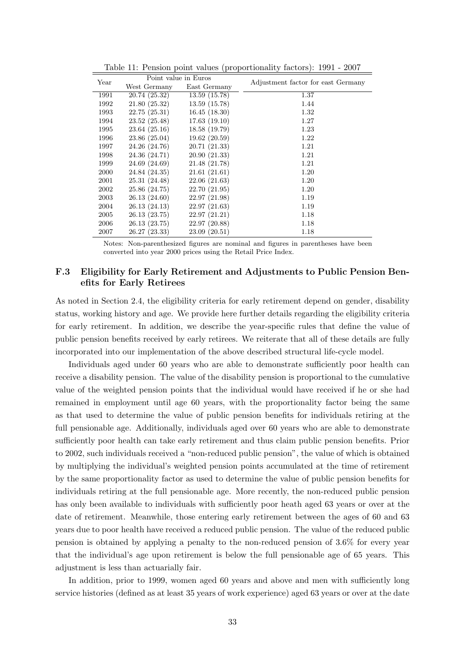| Year | Point value in Euros |               | Adjustment factor for east Germany |
|------|----------------------|---------------|------------------------------------|
|      | West Germany         | East Germany  |                                    |
| 1991 | 20.74 (25.32)        | 13.59(15.78)  | 1.37                               |
| 1992 | 21.80(25.32)         | 13.59(15.78)  | 1.44                               |
| 1993 | 22.75(25.31)         | 16.45(18.30)  | 1.32                               |
| 1994 | 23.52(25.48)         | 17.63(19.10)  | 1.27                               |
| 1995 | 23.64(25.16)         | 18.58 (19.79) | 1.23                               |
| 1996 | 23.86 (25.04)        | 19.62(20.59)  | 1.22                               |
| 1997 | 24.26 (24.76)        | 20.71(21.33)  | 1.21                               |
| 1998 | 24.36 (24.71)        | 20.90(21.33)  | 1.21                               |
| 1999 | 24.69 (24.69)        | 21.48 (21.78) | 1.21                               |
| 2000 | 24.84 (24.35)        | 21.61(21.61)  | 1.20                               |
| 2001 | 25.31 (24.48)        | 22.06(21.63)  | 1.20                               |
| 2002 | 25.86 (24.75)        | 22.70 (21.95) | 1.20                               |
| 2003 | 26.13 (24.60)        | 22.97 (21.98) | 1.19                               |
| 2004 | 26.13 (24.13)        | 22.97(21.63)  | 1.19                               |
| 2005 | 26.13 (23.75)        | 22.97(21.21)  | 1.18                               |
| 2006 | 26.13 (23.75)        | 22.97 (20.88) | 1.18                               |
| 2007 | 26.27 (23.33)        | 23.09(20.51)  | 1.18                               |

Table 11: Pension point values (proportionality factors): 1991 - 2007

Notes: Non-parenthesized figures are nominal and figures in parentheses have been converted into year 2000 prices using the Retail Price Index.

## F.3 Eligibility for Early Retirement and Adjustments to Public Pension Benefits for Early Retirees

As noted in Section 2.4, the eligibility criteria for early retirement depend on gender, disability status, working history and age. We provide here further details regarding the eligibility criteria for early retirement. In addition, we describe the year-specific rules that define the value of public pension benefits received by early retirees. We reiterate that all of these details are fully incorporated into our implementation of the above described structural life-cycle model.

Individuals aged under 60 years who are able to demonstrate sufficiently poor health can receive a disability pension. The value of the disability pension is proportional to the cumulative value of the weighted pension points that the individual would have received if he or she had remained in employment until age 60 years, with the proportionality factor being the same as that used to determine the value of public pension benefits for individuals retiring at the full pensionable age. Additionally, individuals aged over 60 years who are able to demonstrate sufficiently poor health can take early retirement and thus claim public pension benefits. Prior to 2002, such individuals received a "non-reduced public pension", the value of which is obtained by multiplying the individual's weighted pension points accumulated at the time of retirement by the same proportionality factor as used to determine the value of public pension benefits for individuals retiring at the full pensionable age. More recently, the non-reduced public pension has only been available to individuals with sufficiently poor heath aged 63 years or over at the date of retirement. Meanwhile, those entering early retirement between the ages of 60 and 63 years due to poor health have received a reduced public pension. The value of the reduced public pension is obtained by applying a penalty to the non-reduced pension of 3.6% for every year that the individual's age upon retirement is below the full pensionable age of 65 years. This adjustment is less than actuarially fair.

In addition, prior to 1999, women aged 60 years and above and men with sufficiently long service histories (defined as at least 35 years of work experience) aged 63 years or over at the date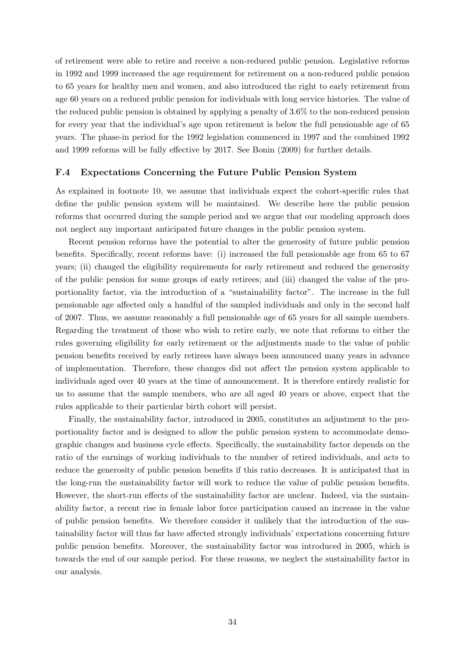of retirement were able to retire and receive a non-reduced public pension. Legislative reforms in 1992 and 1999 increased the age requirement for retirement on a non-reduced public pension to 65 years for healthy men and women, and also introduced the right to early retirement from age 60 years on a reduced public pension for individuals with long service histories. The value of the reduced public pension is obtained by applying a penalty of 3.6% to the non-reduced pension for every year that the individual's age upon retirement is below the full pensionable age of 65 years. The phase-in period for the 1992 legislation commenced in 1997 and the combined 1992 and 1999 reforms will be fully effective by 2017. See Bonin (2009) for further details.

#### F.4 Expectations Concerning the Future Public Pension System

As explained in footnote 10, we assume that individuals expect the cohort-specific rules that define the public pension system will be maintained. We describe here the public pension reforms that occurred during the sample period and we argue that our modeling approach does not neglect any important anticipated future changes in the public pension system.

Recent pension reforms have the potential to alter the generosity of future public pension benefits. Specifically, recent reforms have: (i) increased the full pensionable age from 65 to 67 years; (ii) changed the eligibility requirements for early retirement and reduced the generosity of the public pension for some groups of early retirees; and (iii) changed the value of the proportionality factor, via the introduction of a "sustainability factor". The increase in the full pensionable age affected only a handful of the sampled individuals and only in the second half of 2007. Thus, we assume reasonably a full pensionable age of 65 years for all sample members. Regarding the treatment of those who wish to retire early, we note that reforms to either the rules governing eligibility for early retirement or the adjustments made to the value of public pension benefits received by early retirees have always been announced many years in advance of implementation. Therefore, these changes did not affect the pension system applicable to individuals aged over 40 years at the time of announcement. It is therefore entirely realistic for us to assume that the sample members, who are all aged 40 years or above, expect that the rules applicable to their particular birth cohort will persist.

Finally, the sustainability factor, introduced in 2005, constitutes an adjustment to the proportionality factor and is designed to allow the public pension system to accommodate demographic changes and business cycle effects. Specifically, the sustainability factor depends on the ratio of the earnings of working individuals to the number of retired individuals, and acts to reduce the generosity of public pension benefits if this ratio decreases. It is anticipated that in the long-run the sustainability factor will work to reduce the value of public pension benefits. However, the short-run effects of the sustainability factor are unclear. Indeed, via the sustainability factor, a recent rise in female labor force participation caused an increase in the value of public pension benefits. We therefore consider it unlikely that the introduction of the sustainability factor will thus far have affected strongly individuals' expectations concerning future public pension benefits. Moreover, the sustainability factor was introduced in 2005, which is towards the end of our sample period. For these reasons, we neglect the sustainability factor in our analysis.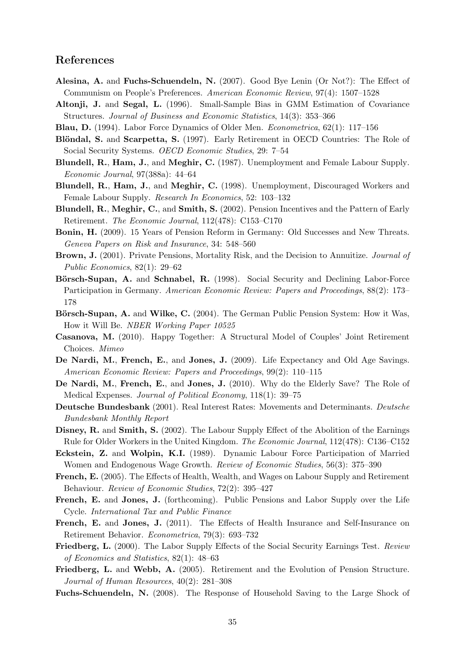## References

- Alesina, A. and Fuchs-Schuendeln, N. (2007). Good Bye Lenin (Or Not?): The Effect of Communism on People's Preferences. American Economic Review, 97(4): 1507–1528
- Altonji, J. and Segal, L. (1996). Small-Sample Bias in GMM Estimation of Covariance Structures. Journal of Business and Economic Statistics, 14(3): 353–366
- Blau, D. (1994). Labor Force Dynamics of Older Men. Econometrica, 62(1): 117–156
- Blöndal, S. and Scarpetta, S. (1997). Early Retirement in OECD Countries: The Role of Social Security Systems. OECD Economic Studies, 29: 7–54
- Blundell, R., Ham, J., and Meghir, C. (1987). Unemployment and Female Labour Supply. Economic Journal, 97(388a): 44–64
- Blundell, R., Ham, J., and Meghir, C. (1998). Unemployment, Discouraged Workers and Female Labour Supply. Research In Economics, 52: 103–132
- Blundell, R., Meghir, C., and Smith, S. (2002). Pension Incentives and the Pattern of Early Retirement. The Economic Journal, 112(478): C153–C170
- Bonin, H. (2009). 15 Years of Pension Reform in Germany: Old Successes and New Threats. Geneva Papers on Risk and Insurance, 34: 548–560
- Brown, J. (2001). Private Pensions, Mortality Risk, and the Decision to Annuitize. Journal of Public Economics, 82(1): 29–62
- Börsch-Supan, A. and Schnabel, R. (1998). Social Security and Declining Labor-Force Participation in Germany. American Economic Review: Papers and Proceedings, 88(2): 173– 178
- Börsch-Supan, A. and Wilke, C. (2004). The German Public Pension System: How it Was, How it Will Be. NBER Working Paper 10525
- Casanova, M. (2010). Happy Together: A Structural Model of Couples' Joint Retirement Choices. Mimeo
- De Nardi, M., French, E., and Jones, J. (2009). Life Expectancy and Old Age Savings. American Economic Review: Papers and Proceedings, 99(2): 110–115
- De Nardi, M., French, E., and Jones, J. (2010). Why do the Elderly Save? The Role of Medical Expenses. Journal of Political Economy, 118(1): 39–75
- Deutsche Bundesbank (2001). Real Interest Rates: Movements and Determinants. Deutsche Bundesbank Monthly Report
- Disney, R. and Smith, S. (2002). The Labour Supply Effect of the Abolition of the Earnings Rule for Older Workers in the United Kingdom. The Economic Journal, 112(478): C136–C152
- Eckstein, Z. and Wolpin, K.I. (1989). Dynamic Labour Force Participation of Married Women and Endogenous Wage Growth. Review of Economic Studies, 56(3): 375–390
- French, E. (2005). The Effects of Health, Wealth, and Wages on Labour Supply and Retirement Behaviour. Review of Economic Studies, 72(2): 395–427
- French, E. and Jones, J. (forthcoming). Public Pensions and Labor Supply over the Life Cycle. International Tax and Public Finance
- French, E. and Jones, J. (2011). The Effects of Health Insurance and Self-Insurance on Retirement Behavior. Econometrica, 79(3): 693–732
- Friedberg, L. (2000). The Labor Supply Effects of the Social Security Earnings Test. Review of Economics and Statistics, 82(1): 48–63
- Friedberg, L. and Webb, A. (2005). Retirement and the Evolution of Pension Structure. Journal of Human Resources, 40(2): 281–308
- Fuchs-Schuendeln, N. (2008). The Response of Household Saving to the Large Shock of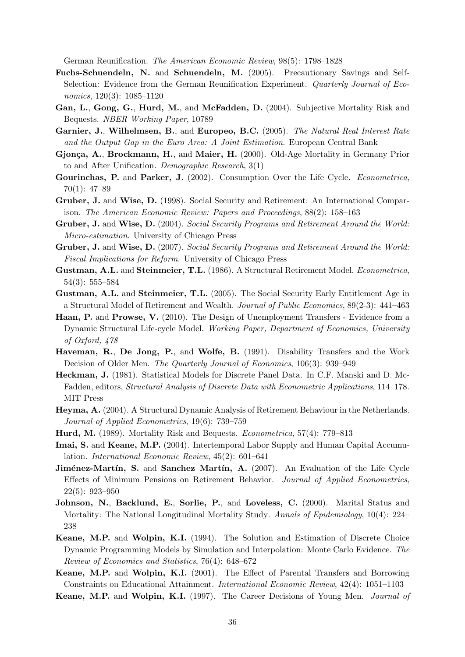German Reunification. The American Economic Review, 98(5): 1798–1828

- Fuchs-Schuendeln, N. and Schuendeln, M. (2005). Precautionary Savings and Self-Selection: Evidence from the German Reunification Experiment. Quarterly Journal of Economics, 120(3): 1085–1120
- Gan, L., Gong, G., Hurd, M., and McFadden, D. (2004). Subjective Mortality Risk and Bequests. NBER Working Paper, 10789
- Garnier, J., Wilhelmsen, B., and Europeo, B.C. (2005). The Natural Real Interest Rate and the Output Gap in the Euro Area: A Joint Estimation. European Central Bank
- Gjonça, A., Brockmann, H., and Maier, H. (2000). Old-Age Mortality in Germany Prior to and After Unification. Demographic Research, 3(1)
- Gourinchas, P. and Parker, J. (2002). Consumption Over the Life Cycle. Econometrica, 70(1): 47–89
- Gruber, J. and Wise, D. (1998). Social Security and Retirement: An International Comparison. The American Economic Review: Papers and Proceedings, 88(2): 158–163
- Gruber, J. and Wise, D. (2004). Social Security Programs and Retirement Around the World: Micro-estimation. University of Chicago Press
- Gruber, J. and Wise, D. (2007). Social Security Programs and Retirement Around the World: Fiscal Implications for Reform. University of Chicago Press
- Gustman, A.L. and Steinmeier, T.L. (1986). A Structural Retirement Model. Econometrica, 54(3): 555–584
- Gustman, A.L. and Steinmeier, T.L. (2005). The Social Security Early Entitlement Age in a Structural Model of Retirement and Wealth. Journal of Public Economics, 89(2-3): 441–463
- Haan, P. and Prowse, V. (2010). The Design of Unemployment Transfers Evidence from a Dynamic Structural Life-cycle Model. Working Paper, Department of Economics, University of Oxford, 478
- Haveman, R., De Jong, P., and Wolfe, B. (1991). Disability Transfers and the Work Decision of Older Men. The Quarterly Journal of Economics, 106(3): 939–949
- Heckman, J. (1981). Statistical Models for Discrete Panel Data. In C.F. Manski and D. Mc-Fadden, editors, Structural Analysis of Discrete Data with Econometric Applications, 114–178. MIT Press
- Heyma, A. (2004). A Structural Dynamic Analysis of Retirement Behaviour in the Netherlands. Journal of Applied Econometrics, 19(6): 739–759
- Hurd, M. (1989). Mortality Risk and Bequests. Econometrica, 57(4): 779–813
- Imai, S. and Keane, M.P. (2004). Intertemporal Labor Supply and Human Capital Accumulation. International Economic Review, 45(2): 601–641
- **Jiménez-Martín, S.** and **Sanchez Martín, A.** (2007). An Evaluation of the Life Cycle Effects of Minimum Pensions on Retirement Behavior. Journal of Applied Econometrics, 22(5): 923–950
- Johnson, N., Backlund, E., Sorlie, P., and Loveless, C. (2000). Marital Status and Mortality: The National Longitudinal Mortality Study. Annals of Epidemiology, 10(4): 224– 238
- Keane, M.P. and Wolpin, K.I. (1994). The Solution and Estimation of Discrete Choice Dynamic Programming Models by Simulation and Interpolation: Monte Carlo Evidence. The Review of Economics and Statistics, 76(4): 648–672
- Keane, M.P. and Wolpin, K.I. (2001). The Effect of Parental Transfers and Borrowing Constraints on Educational Attainment. International Economic Review, 42(4): 1051–1103
- Keane, M.P. and Wolpin, K.I. (1997). The Career Decisions of Young Men. Journal of